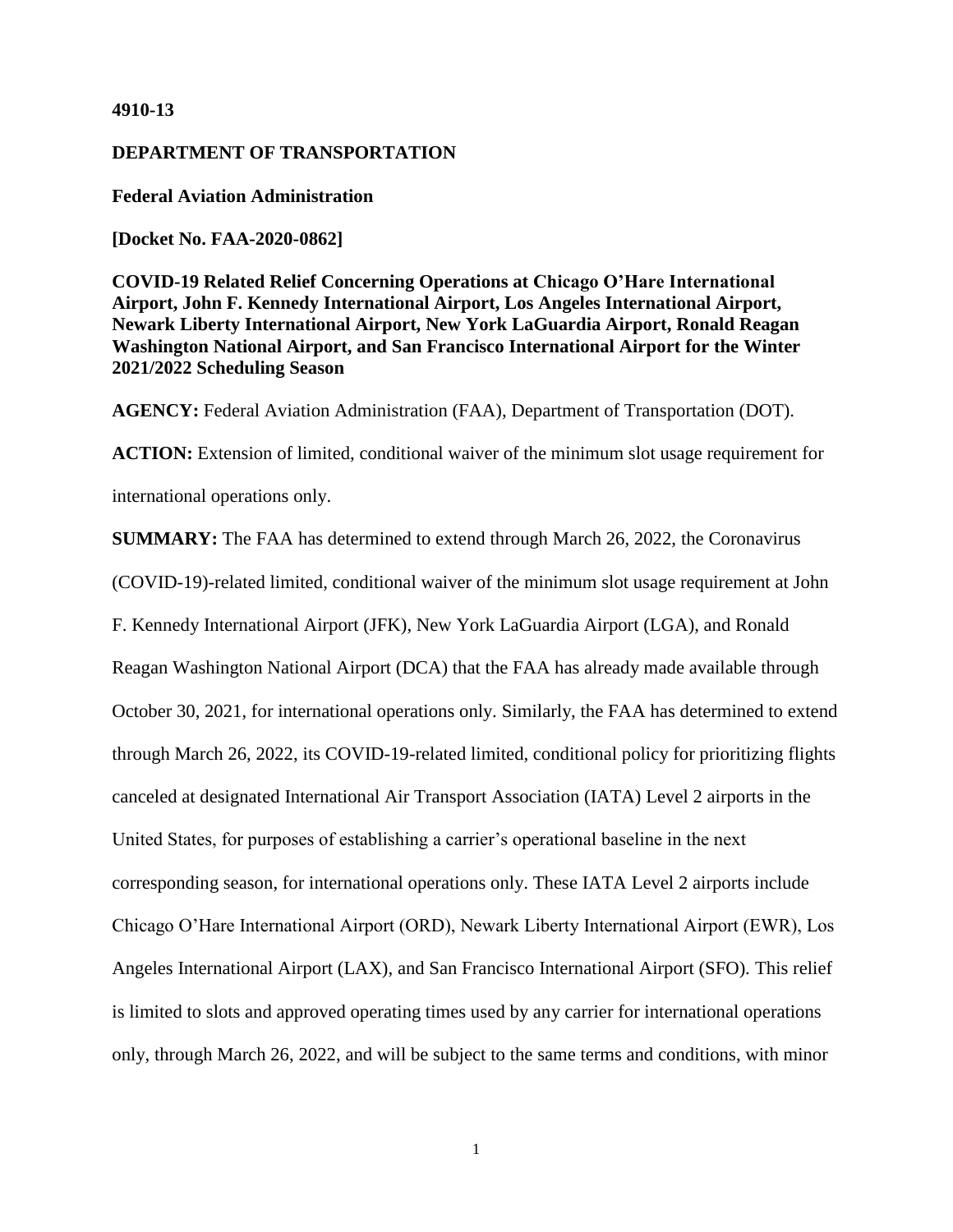### **4910-13**

# **DEPARTMENT OF TRANSPORTATION**

**Federal Aviation Administration**

**[Docket No. FAA-2020-0862]**

**COVID-19 Related Relief Concerning Operations at Chicago O'Hare International Airport, John F. Kennedy International Airport, Los Angeles International Airport, Newark Liberty International Airport, New York LaGuardia Airport, Ronald Reagan Washington National Airport, and San Francisco International Airport for the Winter 2021/2022 Scheduling Season**

**AGENCY:** Federal Aviation Administration (FAA), Department of Transportation (DOT).

ACTION: Extension of limited, conditional waiver of the minimum slot usage requirement for international operations only.

**SUMMARY:** The FAA has determined to extend through March 26, 2022, the Coronavirus (COVID-19)-related limited, conditional waiver of the minimum slot usage requirement at John F. Kennedy International Airport (JFK), New York LaGuardia Airport (LGA), and Ronald Reagan Washington National Airport (DCA) that the FAA has already made available through October 30, 2021, for international operations only. Similarly, the FAA has determined to extend through March 26, 2022, its COVID-19-related limited, conditional policy for prioritizing flights canceled at designated International Air Transport Association (IATA) Level 2 airports in the United States, for purposes of establishing a carrier's operational baseline in the next corresponding season, for international operations only. These IATA Level 2 airports include Chicago O'Hare International Airport (ORD), Newark Liberty International Airport (EWR), Los Angeles International Airport (LAX), and San Francisco International Airport (SFO). This relief is limited to slots and approved operating times used by any carrier for international operations only, through March 26, 2022, and will be subject to the same terms and conditions, with minor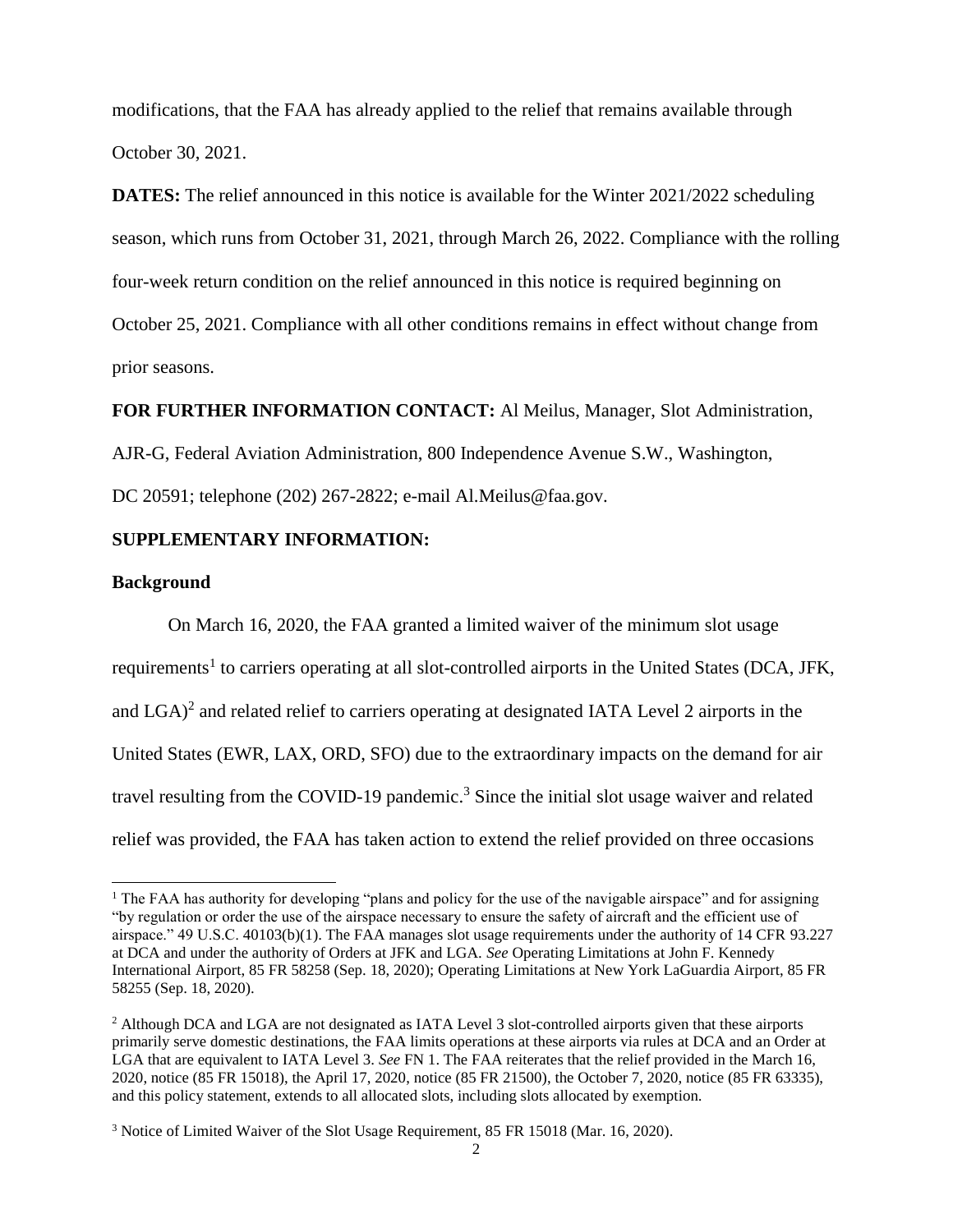modifications, that the FAA has already applied to the relief that remains available through October 30, 2021.

**DATES:** The relief announced in this notice is available for the Winter 2021/2022 scheduling season, which runs from October 31, 2021, through March 26, 2022. Compliance with the rolling four-week return condition on the relief announced in this notice is required beginning on October 25, 2021. Compliance with all other conditions remains in effect without change from prior seasons.

**FOR FURTHER INFORMATION CONTACT:** Al Meilus, Manager, Slot Administration,

AJR-G, Federal Aviation Administration, 800 Independence Avenue S.W., Washington,

DC 20591; telephone (202) 267-2822; e-mail Al.Meilus@faa.gov.

# **SUPPLEMENTARY INFORMATION:**

#### **Background**

 $\overline{\phantom{a}}$ 

On March 16, 2020, the FAA granted a limited waiver of the minimum slot usage requirements<sup>1</sup> to carriers operating at all slot-controlled airports in the United States (DCA, JFK, and  $LGA$ <sup>2</sup> and related relief to carriers operating at designated IATA Level 2 airports in the United States (EWR, LAX, ORD, SFO) due to the extraordinary impacts on the demand for air travel resulting from the COVID-19 pandemic.<sup>3</sup> Since the initial slot usage waiver and related relief was provided, the FAA has taken action to extend the relief provided on three occasions

<sup>&</sup>lt;sup>1</sup> The FAA has authority for developing "plans and policy for the use of the navigable airspace" and for assigning "by regulation or order the use of the airspace necessary to ensure the safety of aircraft and the efficient use of airspace." 49 U.S.C. 40103(b)(1). The FAA manages slot usage requirements under the authority of 14 CFR 93.227 at DCA and under the authority of Orders at JFK and LGA. *See* Operating Limitations at John F. Kennedy International Airport, 85 FR 58258 (Sep. 18, 2020); Operating Limitations at New York LaGuardia Airport, 85 FR 58255 (Sep. 18, 2020).

<sup>&</sup>lt;sup>2</sup> Although DCA and LGA are not designated as IATA Level 3 slot-controlled airports given that these airports primarily serve domestic destinations, the FAA limits operations at these airports via rules at DCA and an Order at LGA that are equivalent to IATA Level 3. *See* FN 1. The FAA reiterates that the relief provided in the March 16, 2020, notice (85 FR 15018), the April 17, 2020, notice (85 FR 21500), the October 7, 2020, notice (85 FR 63335), and this policy statement, extends to all allocated slots, including slots allocated by exemption.

<sup>3</sup> Notice of Limited Waiver of the Slot Usage Requirement, 85 FR 15018 (Mar. 16, 2020).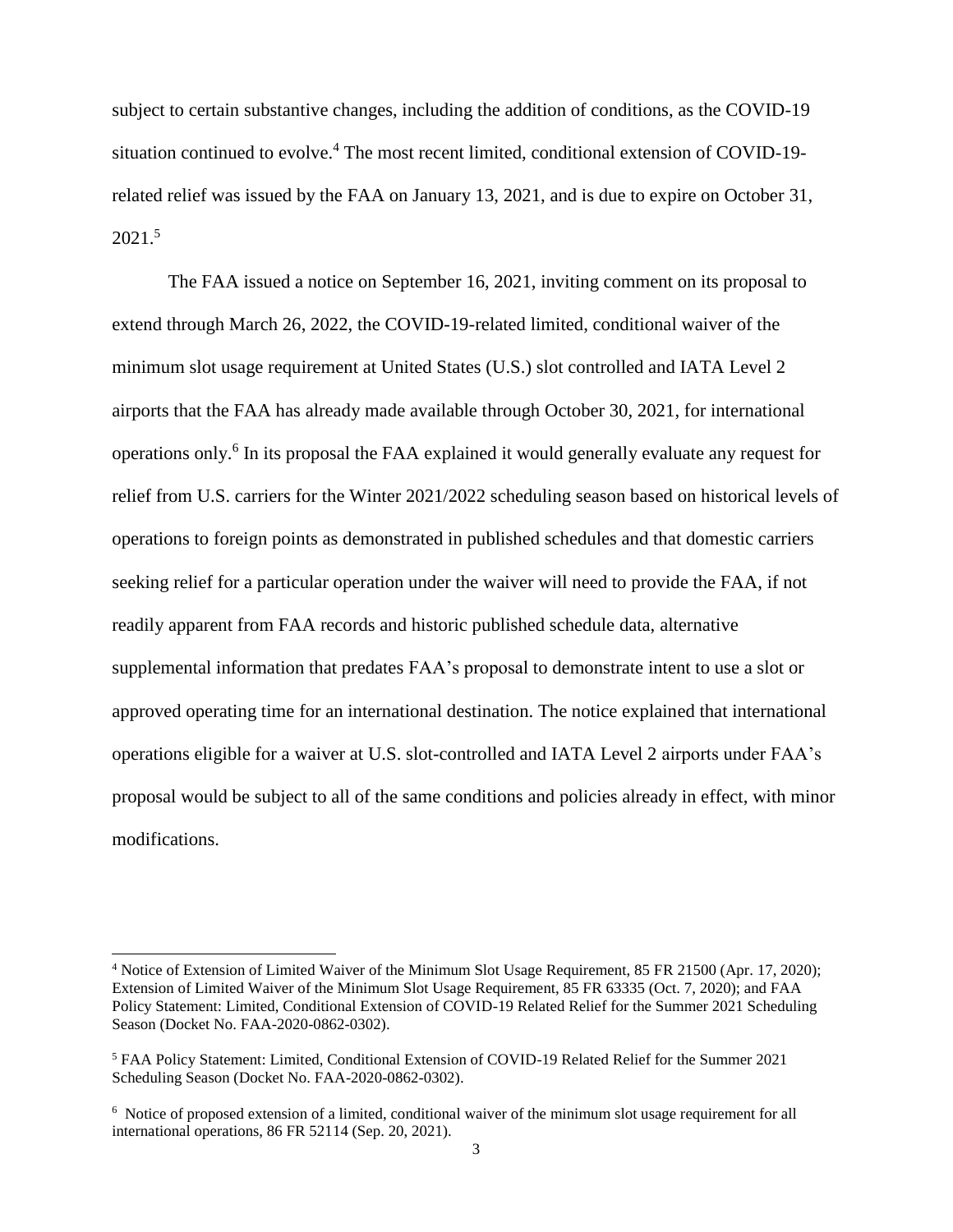subject to certain substantive changes, including the addition of conditions, as the COVID-19 situation continued to evolve. <sup>4</sup> The most recent limited, conditional extension of COVID-19 related relief was issued by the FAA on January 13, 2021, and is due to expire on October 31, 2021.<sup>5</sup>

The FAA issued a notice on September 16, 2021, inviting comment on its proposal to extend through March 26, 2022, the COVID-19-related limited, conditional waiver of the minimum slot usage requirement at United States (U.S.) slot controlled and IATA Level 2 airports that the FAA has already made available through October 30, 2021, for international operations only.<sup>6</sup> In its proposal the FAA explained it would generally evaluate any request for relief from U.S. carriers for the Winter 2021/2022 scheduling season based on historical levels of operations to foreign points as demonstrated in published schedules and that domestic carriers seeking relief for a particular operation under the waiver will need to provide the FAA, if not readily apparent from FAA records and historic published schedule data, alternative supplemental information that predates FAA's proposal to demonstrate intent to use a slot or approved operating time for an international destination. The notice explained that international operations eligible for a waiver at U.S. slot-controlled and IATA Level 2 airports under FAA's proposal would be subject to all of the same conditions and policies already in effect, with minor modifications.

 $\overline{\phantom{a}}$ 

<sup>4</sup> Notice of Extension of Limited Waiver of the Minimum Slot Usage Requirement, 85 FR 21500 (Apr. 17, 2020); Extension of Limited Waiver of the Minimum Slot Usage Requirement, 85 FR 63335 (Oct. 7, 2020); and FAA Policy Statement: Limited, Conditional Extension of COVID-19 Related Relief for the Summer 2021 Scheduling Season (Docket No. FAA-2020-0862-0302).

<sup>5</sup> FAA Policy Statement: Limited, Conditional Extension of COVID-19 Related Relief for the Summer 2021 Scheduling Season (Docket No. FAA-2020-0862-0302).

<sup>6</sup> Notice of proposed extension of a limited, conditional waiver of the minimum slot usage requirement for all international operations, 86 FR 52114 (Sep. 20, 2021).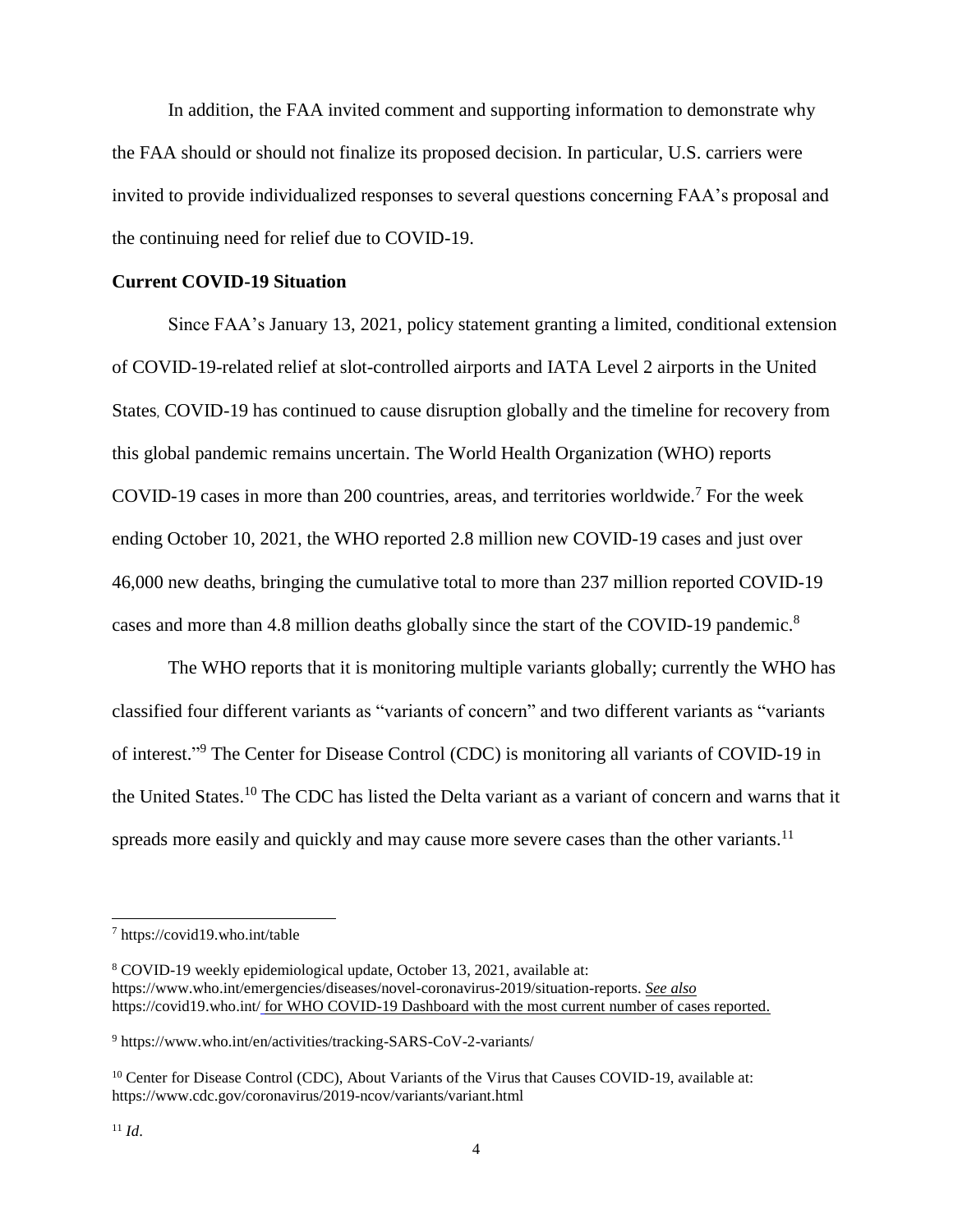In addition, the FAA invited comment and supporting information to demonstrate why the FAA should or should not finalize its proposed decision. In particular, U.S. carriers were invited to provide individualized responses to several questions concerning FAA's proposal and the continuing need for relief due to COVID-19.

## **Current COVID-19 Situation**

Since FAA's January 13, 2021, policy statement granting a limited, conditional extension of COVID-19-related relief at slot-controlled airports and IATA Level 2 airports in the United States, COVID-19 has continued to cause disruption globally and the timeline for recovery from this global pandemic remains uncertain. The World Health Organization (WHO) reports COVID-19 cases in more than 200 countries, areas, and territories worldwide.<sup>7</sup> For the week ending October 10, 2021, the WHO reported 2.8 million new COVID-19 cases and just over 46,000 new deaths, bringing the cumulative total to more than 237 million reported COVID-19 cases and more than 4.8 million deaths globally since the start of the COVID-19 pandemic.<sup>8</sup>

The WHO reports that it is monitoring multiple variants globally; currently the WHO has classified four different variants as "variants of concern" and two different variants as "variants of interest." <sup>9</sup> The Center for Disease Control (CDC) is monitoring all variants of COVID-19 in the United States.<sup>10</sup> The CDC has listed the Delta variant as a variant of concern and warns that it spreads more easily and quickly and may cause more severe cases than the other variants.<sup>11</sup>

 $\overline{\phantom{a}}$ 

<sup>7</sup> https://covid19.who.int/table

<sup>8</sup> COVID-19 weekly epidemiological update, October 13, 2021, available at: https://www.who.int/emergencies/diseases/novel-coronavirus-2019/situation-reports. *See also*  https://covid19.who.int/ for WHO COVID-19 Dashboard with the most current number of cases reported.

<sup>9</sup> https://www.who.int/en/activities/tracking-SARS-CoV-2-variants/

<sup>&</sup>lt;sup>10</sup> Center for Disease Control (CDC), About Variants of the Virus that Causes COVID-19, available at: https://www.cdc.gov/coronavirus/2019-ncov/variants/variant.html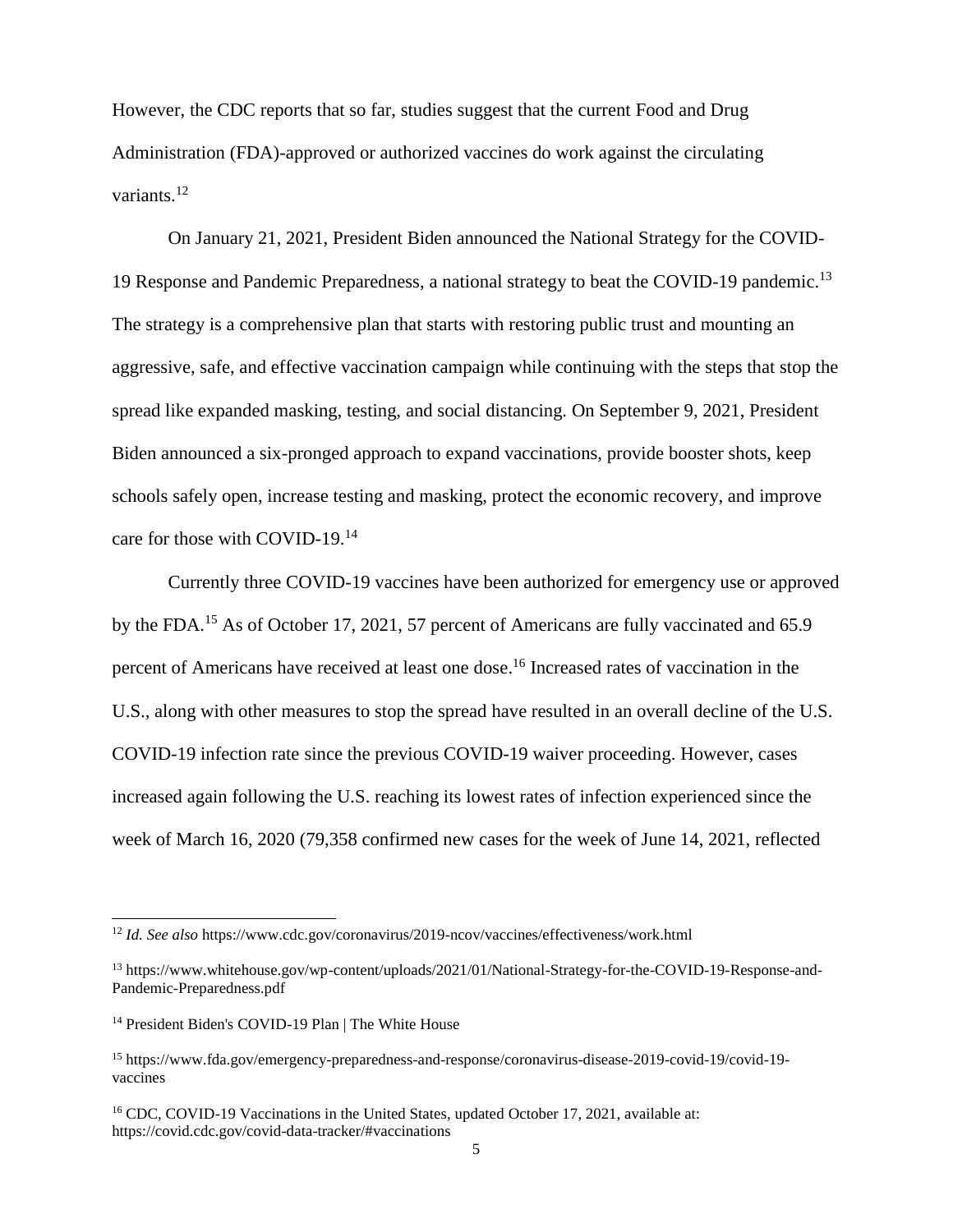However, the CDC reports that so far, studies suggest that the current Food and Drug Administration (FDA)-approved or authorized vaccines do work against the circulating variants.<sup>12</sup>

On January 21, 2021, President Biden announced the National Strategy for the COVID-19 Response and Pandemic Preparedness, a national strategy to beat the COVID-19 pandemic.<sup>13</sup> The strategy is a comprehensive plan that starts with restoring public trust and mounting an aggressive, safe, and effective vaccination campaign while continuing with the steps that stop the spread like expanded masking, testing, and social distancing. On September 9, 2021, President Biden announced a six-pronged approach to expand vaccinations, provide booster shots, keep schools safely open, increase testing and masking, protect the economic recovery, and improve care for those with COVID-19.<sup>14</sup>

Currently three COVID-19 vaccines have been authorized for emergency use or approved by the FDA.<sup>15</sup> As of October 17, 2021, 57 percent of Americans are fully vaccinated and 65.9 percent of Americans have received at least one dose. <sup>16</sup> Increased rates of vaccination in the U.S., along with other measures to stop the spread have resulted in an overall decline of the U.S. COVID-19 infection rate since the previous COVID-19 waiver proceeding. However, cases increased again following the U.S. reaching its lowest rates of infection experienced since the week of March 16, 2020 (79,358 confirmed new cases for the week of June 14, 2021, reflected

<sup>12</sup> *Id. See also* https://www.cdc.gov/coronavirus/2019-ncov/vaccines/effectiveness/work.html

<sup>13</sup> https://www.whitehouse.gov/wp-content/uploads/2021/01/National-Strategy-for-the-COVID-19-Response-and-Pandemic-Preparedness.pdf

<sup>&</sup>lt;sup>14</sup> President Biden's COVID-19 Plan | The White House

<sup>15</sup> https://www.fda.gov/emergency-preparedness-and-response/coronavirus-disease-2019-covid-19/covid-19 vaccines

<sup>&</sup>lt;sup>16</sup> CDC, COVID-19 Vaccinations in the United States, updated October 17, 2021, available at: https://covid.cdc.gov/covid-data-tracker/#vaccinations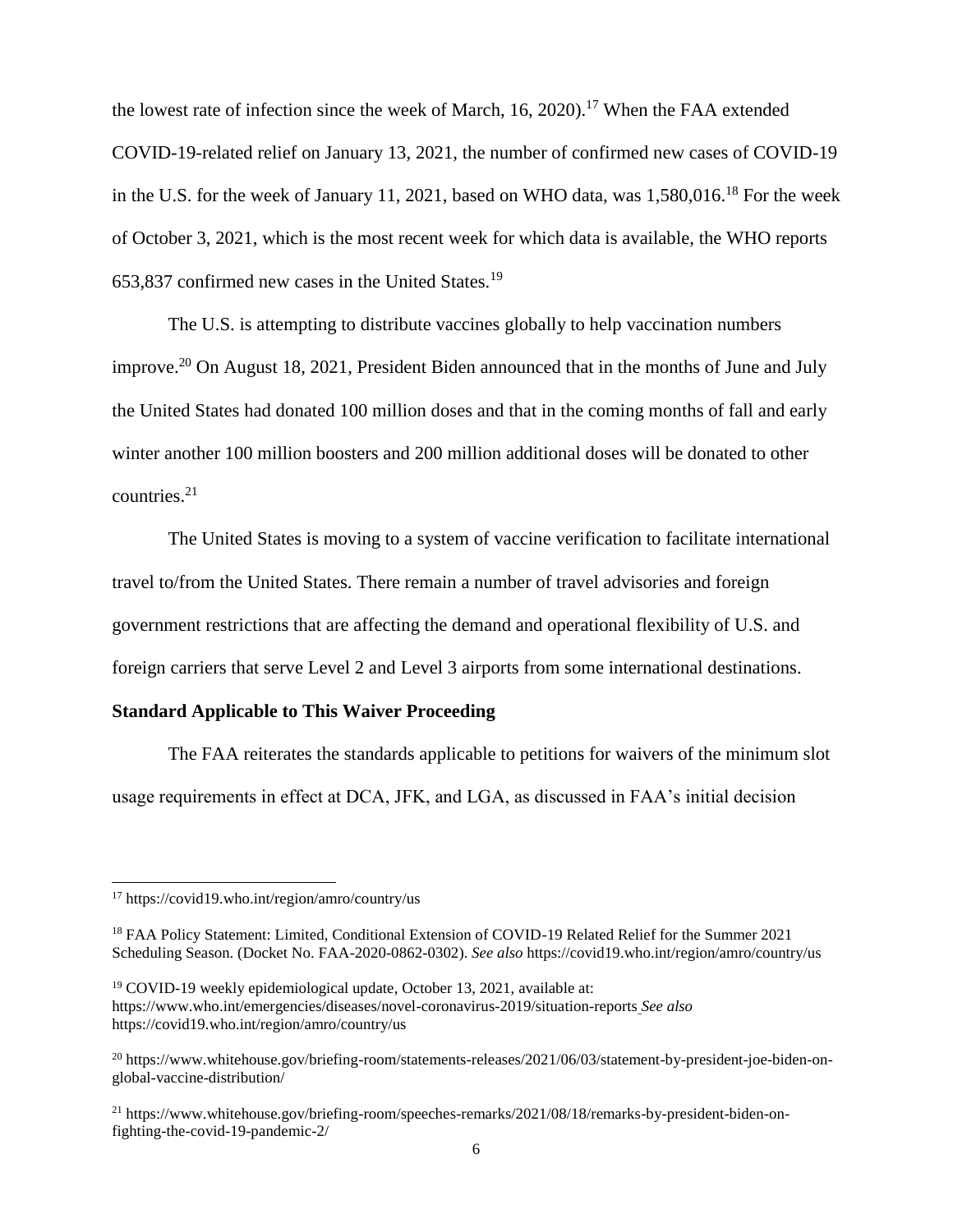the lowest rate of infection since the week of March, 16, 2020).<sup>17</sup> When the FAA extended COVID-19-related relief on January 13, 2021, the number of confirmed new cases of COVID-19 in the U.S. for the week of January 11, 2021, based on WHO data, was 1,580,016.<sup>18</sup> For the week of October 3, 2021, which is the most recent week for which data is available, the WHO reports 653,837 confirmed new cases in the United States.<sup>19</sup>

The U.S. is attempting to distribute vaccines globally to help vaccination numbers improve.<sup>20</sup> On August 18, 2021, President Biden announced that in the months of June and July the United States had donated 100 million doses and that in the coming months of fall and early winter another 100 million boosters and 200 million additional doses will be donated to other countries. 21

The United States is moving to a system of vaccine verification to facilitate international travel to/from the United States. There remain a number of travel advisories and foreign government restrictions that are affecting the demand and operational flexibility of U.S. and foreign carriers that serve Level 2 and Level 3 airports from some international destinations.

## **Standard Applicable to This Waiver Proceeding**

The FAA reiterates the standards applicable to petitions for waivers of the minimum slot usage requirements in effect at DCA, JFK, and LGA, as discussed in FAA's initial decision

<sup>17</sup> https://covid19.who.int/region/amro/country/us

<sup>&</sup>lt;sup>18</sup> FAA Policy Statement: Limited, Conditional Extension of COVID-19 Related Relief for the Summer 2021 Scheduling Season. (Docket No. FAA-2020-0862-0302). *See also* https://covid19.who.int/region/amro/country/us

<sup>&</sup>lt;sup>19</sup> COVID-19 weekly epidemiological update, October 13, 2021, available at: https://www.who.int/emergencies/diseases/novel-coronavirus-2019/situation-reports *See also*  https://covid19.who.int/region/amro/country/us

<sup>&</sup>lt;sup>20</sup> https://www.whitehouse.gov/briefing-room/statements-releases/2021/06/03/statement-by-president-joe-biden-onglobal-vaccine-distribution/

<sup>21</sup> https://www.whitehouse.gov/briefing-room/speeches-remarks/2021/08/18/remarks-by-president-biden-onfighting-the-covid-19-pandemic-2/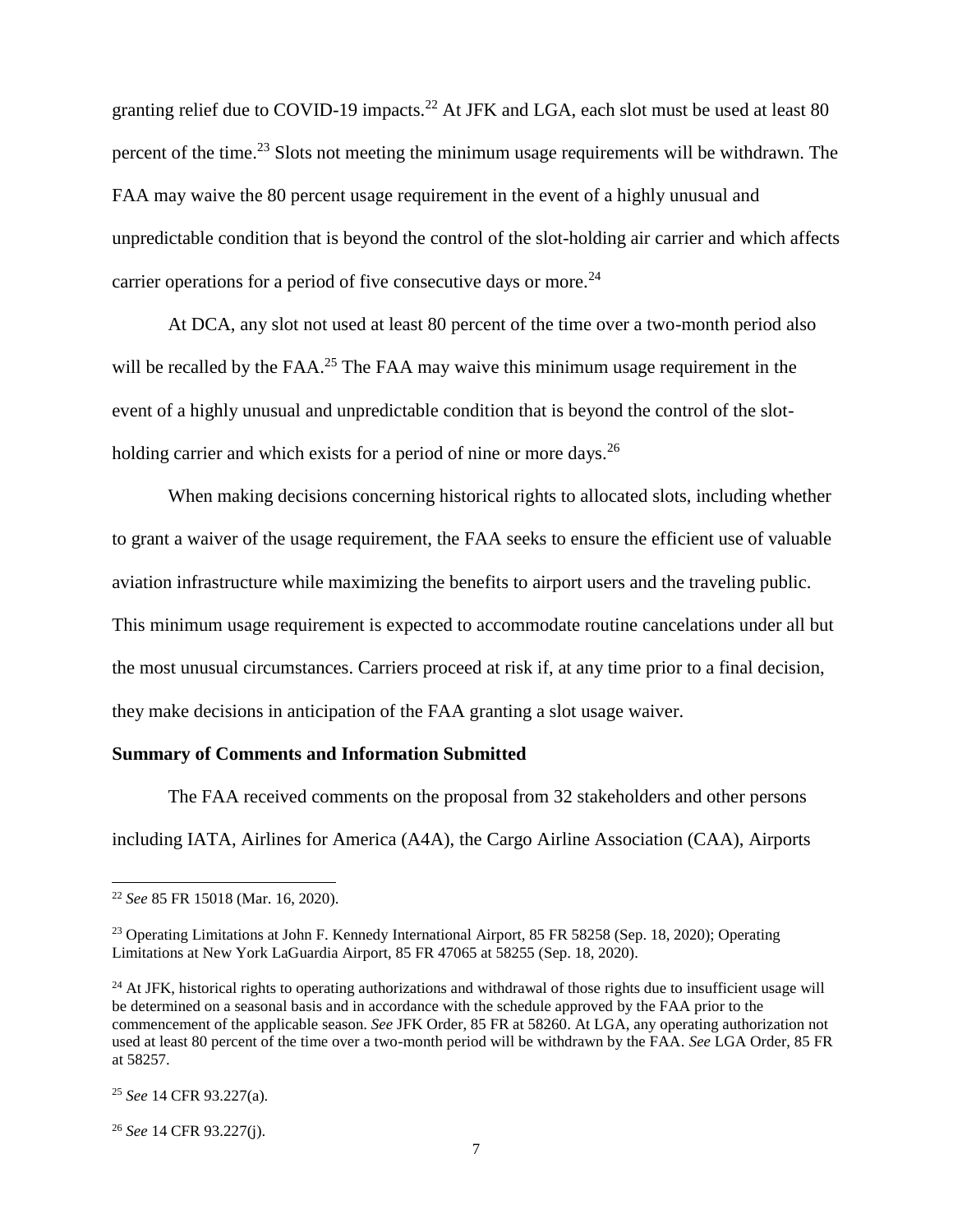granting relief due to COVID-19 impacts.<sup>22</sup> At JFK and LGA, each slot must be used at least 80 percent of the time.<sup>23</sup> Slots not meeting the minimum usage requirements will be withdrawn. The FAA may waive the 80 percent usage requirement in the event of a highly unusual and unpredictable condition that is beyond the control of the slot-holding air carrier and which affects carrier operations for a period of five consecutive days or more.<sup>24</sup>

At DCA, any slot not used at least 80 percent of the time over a two-month period also will be recalled by the FAA.<sup>25</sup> The FAA may waive this minimum usage requirement in the event of a highly unusual and unpredictable condition that is beyond the control of the slotholding carrier and which exists for a period of nine or more days.  $2<sup>6</sup>$ 

When making decisions concerning historical rights to allocated slots, including whether to grant a waiver of the usage requirement, the FAA seeks to ensure the efficient use of valuable aviation infrastructure while maximizing the benefits to airport users and the traveling public. This minimum usage requirement is expected to accommodate routine cancelations under all but the most unusual circumstances. Carriers proceed at risk if, at any time prior to a final decision, they make decisions in anticipation of the FAA granting a slot usage waiver.

## **Summary of Comments and Information Submitted**

The FAA received comments on the proposal from 32 stakeholders and other persons including IATA, Airlines for America (A4A), the Cargo Airline Association (CAA), Airports

<sup>22</sup> *See* 85 FR 15018 (Mar. 16, 2020).

<sup>&</sup>lt;sup>23</sup> Operating Limitations at John F. Kennedy International Airport, 85 FR 58258 (Sep. 18, 2020); Operating Limitations at New York LaGuardia Airport, 85 FR 47065 at 58255 (Sep. 18, 2020).

 $24$  At JFK, historical rights to operating authorizations and withdrawal of those rights due to insufficient usage will be determined on a seasonal basis and in accordance with the schedule approved by the FAA prior to the commencement of the applicable season. *See* JFK Order, 85 FR at 58260. At LGA, any operating authorization not used at least 80 percent of the time over a two-month period will be withdrawn by the FAA. *See* LGA Order, 85 FR at 58257.

<sup>25</sup> *See* 14 CFR 93.227(a).

<sup>26</sup> *See* 14 CFR 93.227(j).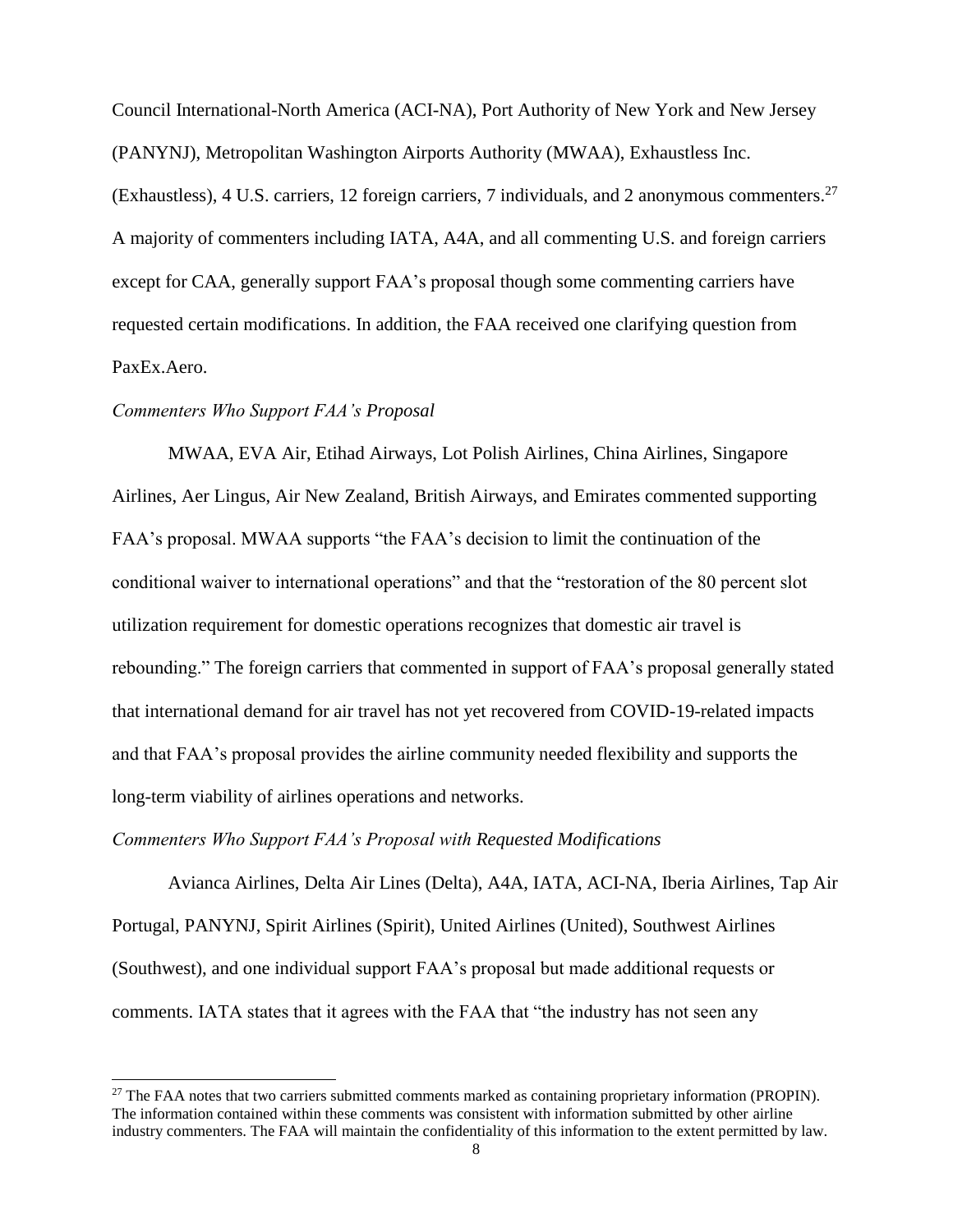Council International-North America (ACI-NA), Port Authority of New York and New Jersey (PANYNJ), Metropolitan Washington Airports Authority (MWAA), Exhaustless Inc.

(Exhaustless), 4 U.S. carriers, 12 foreign carriers, 7 individuals, and 2 anonymous commenters. 27 A majority of commenters including IATA, A4A, and all commenting U.S. and foreign carriers except for CAA, generally support FAA's proposal though some commenting carriers have requested certain modifications. In addition, the FAA received one clarifying question from PaxEx.Aero.

### *Commenters Who Support FAA's Proposal*

 $\overline{a}$ 

MWAA, EVA Air, Etihad Airways, Lot Polish Airlines, China Airlines, Singapore Airlines, Aer Lingus, Air New Zealand, British Airways, and Emirates commented supporting FAA's proposal. MWAA supports "the FAA's decision to limit the continuation of the conditional waiver to international operations" and that the "restoration of the 80 percent slot utilization requirement for domestic operations recognizes that domestic air travel is rebounding." The foreign carriers that commented in support of FAA's proposal generally stated that international demand for air travel has not yet recovered from COVID-19-related impacts and that FAA's proposal provides the airline community needed flexibility and supports the long-term viability of airlines operations and networks.

# *Commenters Who Support FAA's Proposal with Requested Modifications*

Avianca Airlines, Delta Air Lines (Delta), A4A, IATA, ACI-NA, Iberia Airlines, Tap Air Portugal, PANYNJ, Spirit Airlines (Spirit), United Airlines (United), Southwest Airlines (Southwest), and one individual support FAA's proposal but made additional requests or comments. IATA states that it agrees with the FAA that "the industry has not seen any

<sup>&</sup>lt;sup>27</sup> The FAA notes that two carriers submitted comments marked as containing proprietary information (PROPIN). The information contained within these comments was consistent with information submitted by other airline industry commenters. The FAA will maintain the confidentiality of this information to the extent permitted by law.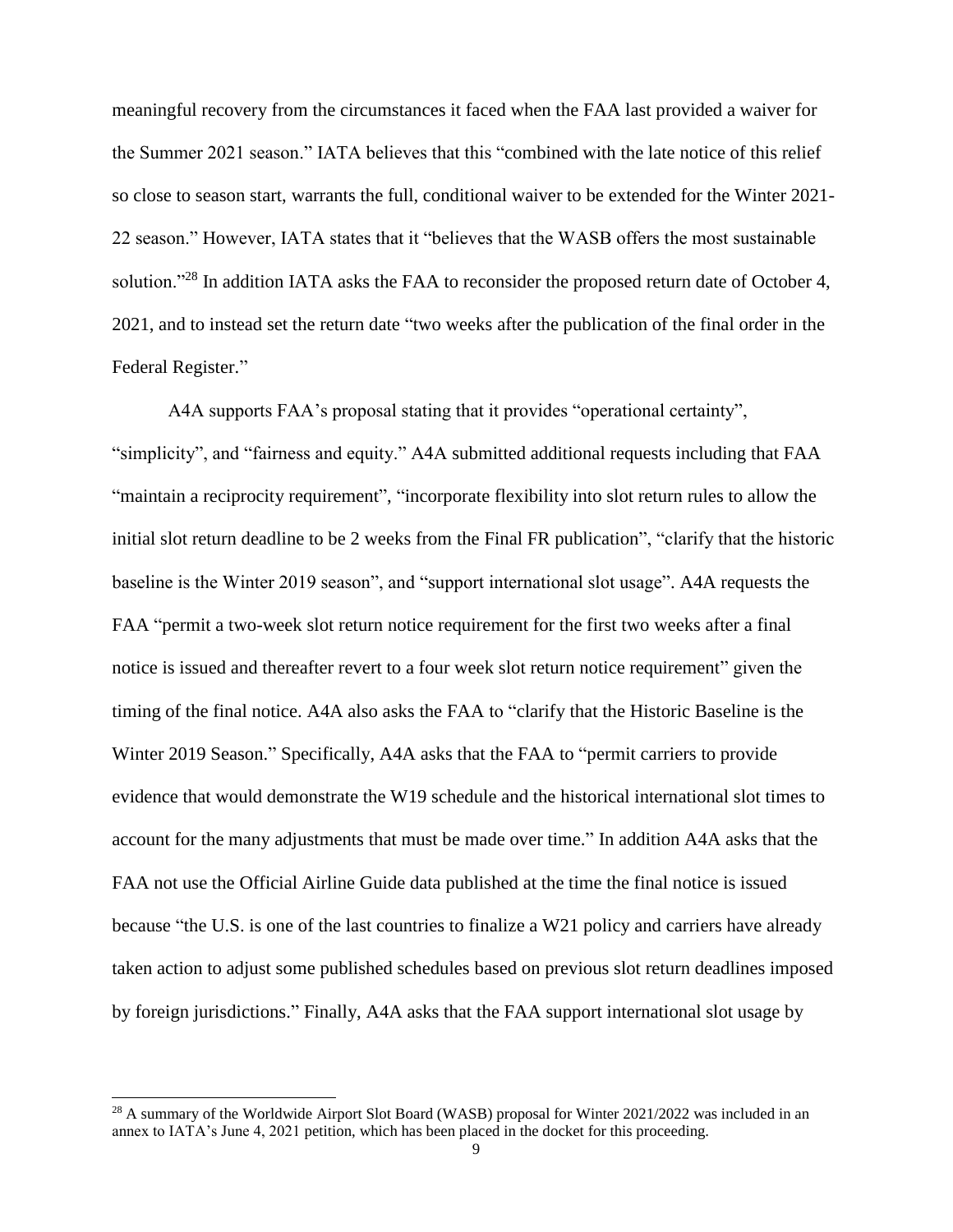meaningful recovery from the circumstances it faced when the FAA last provided a waiver for the Summer 2021 season." IATA believes that this "combined with the late notice of this relief so close to season start, warrants the full, conditional waiver to be extended for the Winter 2021- 22 season." However, IATA states that it "believes that the WASB offers the most sustainable solution."<sup>28</sup> In addition IATA asks the FAA to reconsider the proposed return date of October 4, 2021, and to instead set the return date "two weeks after the publication of the final order in the Federal Register."

A4A supports FAA's proposal stating that it provides "operational certainty", "simplicity", and "fairness and equity." A4A submitted additional requests including that FAA "maintain a reciprocity requirement", "incorporate flexibility into slot return rules to allow the initial slot return deadline to be 2 weeks from the Final FR publication", "clarify that the historic baseline is the Winter 2019 season", and "support international slot usage". A4A requests the FAA "permit a two-week slot return notice requirement for the first two weeks after a final notice is issued and thereafter revert to a four week slot return notice requirement" given the timing of the final notice. A4A also asks the FAA to "clarify that the Historic Baseline is the Winter 2019 Season." Specifically, A4A asks that the FAA to "permit carriers to provide evidence that would demonstrate the W19 schedule and the historical international slot times to account for the many adjustments that must be made over time." In addition A4A asks that the FAA not use the Official Airline Guide data published at the time the final notice is issued because "the U.S. is one of the last countries to finalize a W21 policy and carriers have already taken action to adjust some published schedules based on previous slot return deadlines imposed by foreign jurisdictions." Finally, A4A asks that the FAA support international slot usage by

<sup>&</sup>lt;sup>28</sup> A summary of the Worldwide Airport Slot Board (WASB) proposal for Winter 2021/2022 was included in an annex to IATA's June 4, 2021 petition, which has been placed in the docket for this proceeding.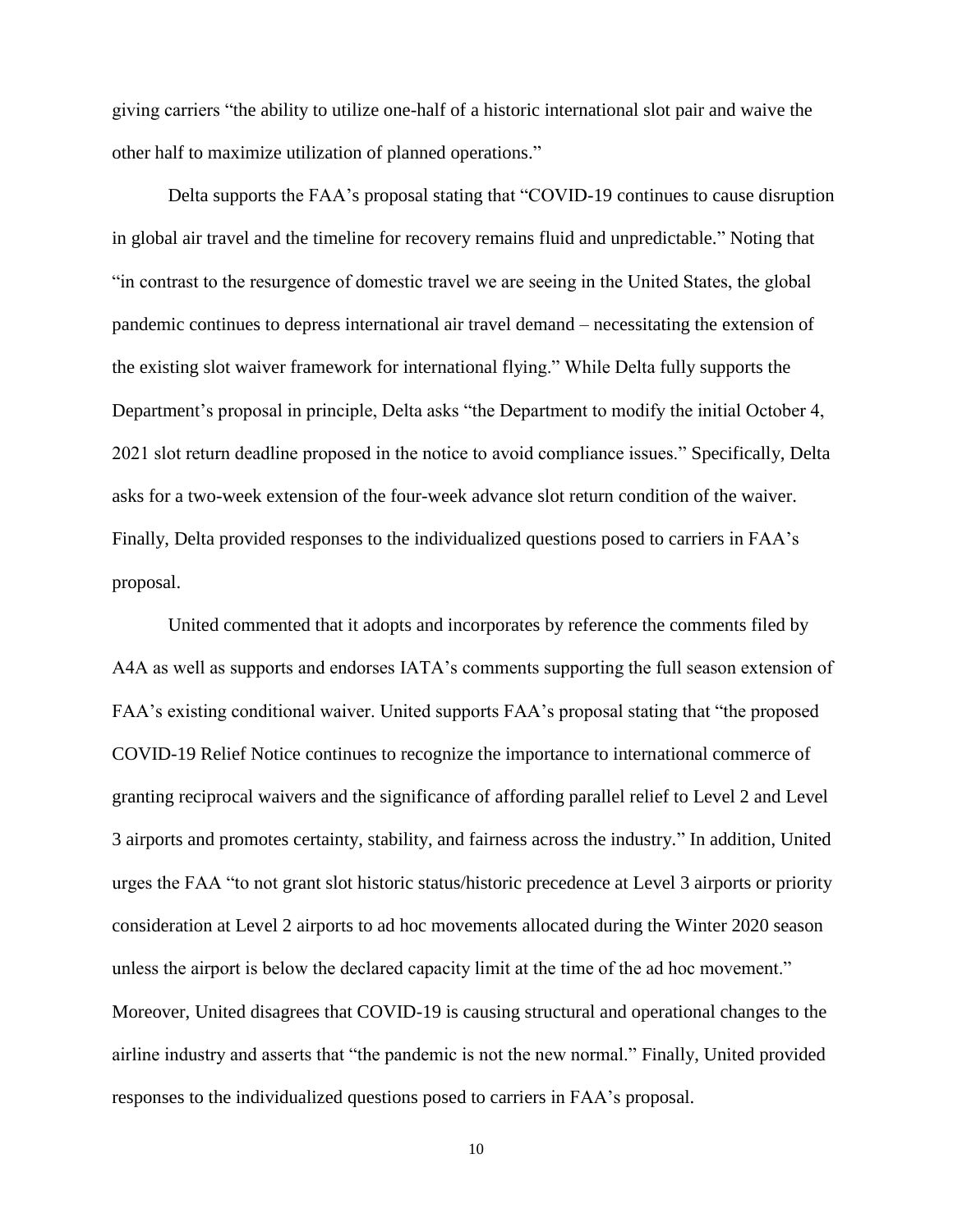giving carriers "the ability to utilize one-half of a historic international slot pair and waive the other half to maximize utilization of planned operations."

Delta supports the FAA's proposal stating that "COVID-19 continues to cause disruption in global air travel and the timeline for recovery remains fluid and unpredictable." Noting that "in contrast to the resurgence of domestic travel we are seeing in the United States, the global pandemic continues to depress international air travel demand – necessitating the extension of the existing slot waiver framework for international flying." While Delta fully supports the Department's proposal in principle, Delta asks "the Department to modify the initial October 4, 2021 slot return deadline proposed in the notice to avoid compliance issues." Specifically, Delta asks for a two-week extension of the four-week advance slot return condition of the waiver. Finally, Delta provided responses to the individualized questions posed to carriers in FAA's proposal.

United commented that it adopts and incorporates by reference the comments filed by A4A as well as supports and endorses IATA's comments supporting the full season extension of FAA's existing conditional waiver. United supports FAA's proposal stating that "the proposed COVID-19 Relief Notice continues to recognize the importance to international commerce of granting reciprocal waivers and the significance of affording parallel relief to Level 2 and Level 3 airports and promotes certainty, stability, and fairness across the industry." In addition, United urges the FAA "to not grant slot historic status/historic precedence at Level 3 airports or priority consideration at Level 2 airports to ad hoc movements allocated during the Winter 2020 season unless the airport is below the declared capacity limit at the time of the ad hoc movement." Moreover, United disagrees that COVID-19 is causing structural and operational changes to the airline industry and asserts that "the pandemic is not the new normal." Finally, United provided responses to the individualized questions posed to carriers in FAA's proposal.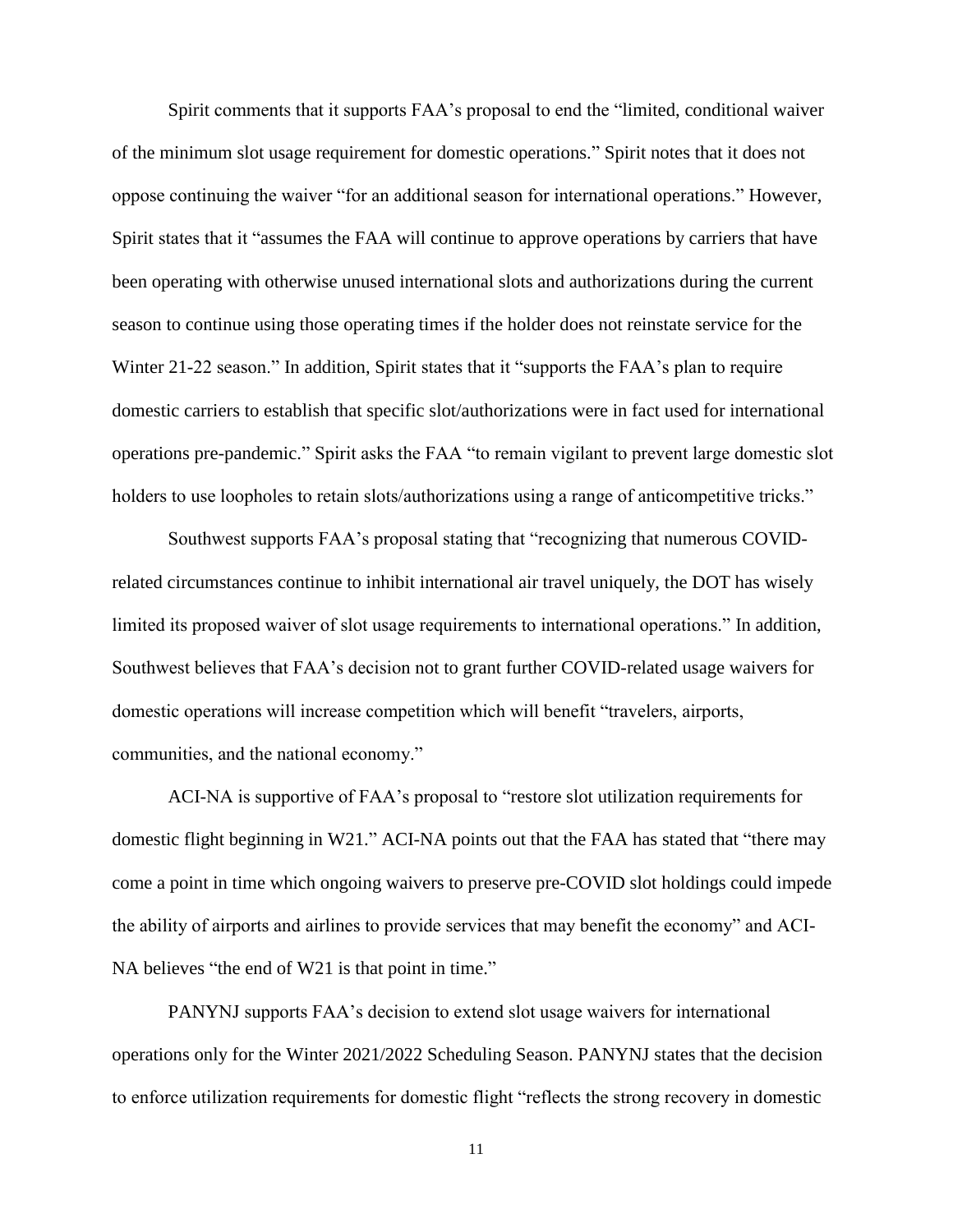Spirit comments that it supports FAA's proposal to end the "limited, conditional waiver of the minimum slot usage requirement for domestic operations." Spirit notes that it does not oppose continuing the waiver "for an additional season for international operations." However, Spirit states that it "assumes the FAA will continue to approve operations by carriers that have been operating with otherwise unused international slots and authorizations during the current season to continue using those operating times if the holder does not reinstate service for the Winter 21-22 season." In addition, Spirit states that it "supports the FAA's plan to require domestic carriers to establish that specific slot/authorizations were in fact used for international operations pre-pandemic." Spirit asks the FAA "to remain vigilant to prevent large domestic slot holders to use loopholes to retain slots/authorizations using a range of anticompetitive tricks."

Southwest supports FAA's proposal stating that "recognizing that numerous COVIDrelated circumstances continue to inhibit international air travel uniquely, the DOT has wisely limited its proposed waiver of slot usage requirements to international operations." In addition, Southwest believes that FAA's decision not to grant further COVID-related usage waivers for domestic operations will increase competition which will benefit "travelers, airports, communities, and the national economy."

ACI-NA is supportive of FAA's proposal to "restore slot utilization requirements for domestic flight beginning in W21." ACI-NA points out that the FAA has stated that "there may come a point in time which ongoing waivers to preserve pre-COVID slot holdings could impede the ability of airports and airlines to provide services that may benefit the economy" and ACI-NA believes "the end of W21 is that point in time."

PANYNJ supports FAA's decision to extend slot usage waivers for international operations only for the Winter 2021/2022 Scheduling Season. PANYNJ states that the decision to enforce utilization requirements for domestic flight "reflects the strong recovery in domestic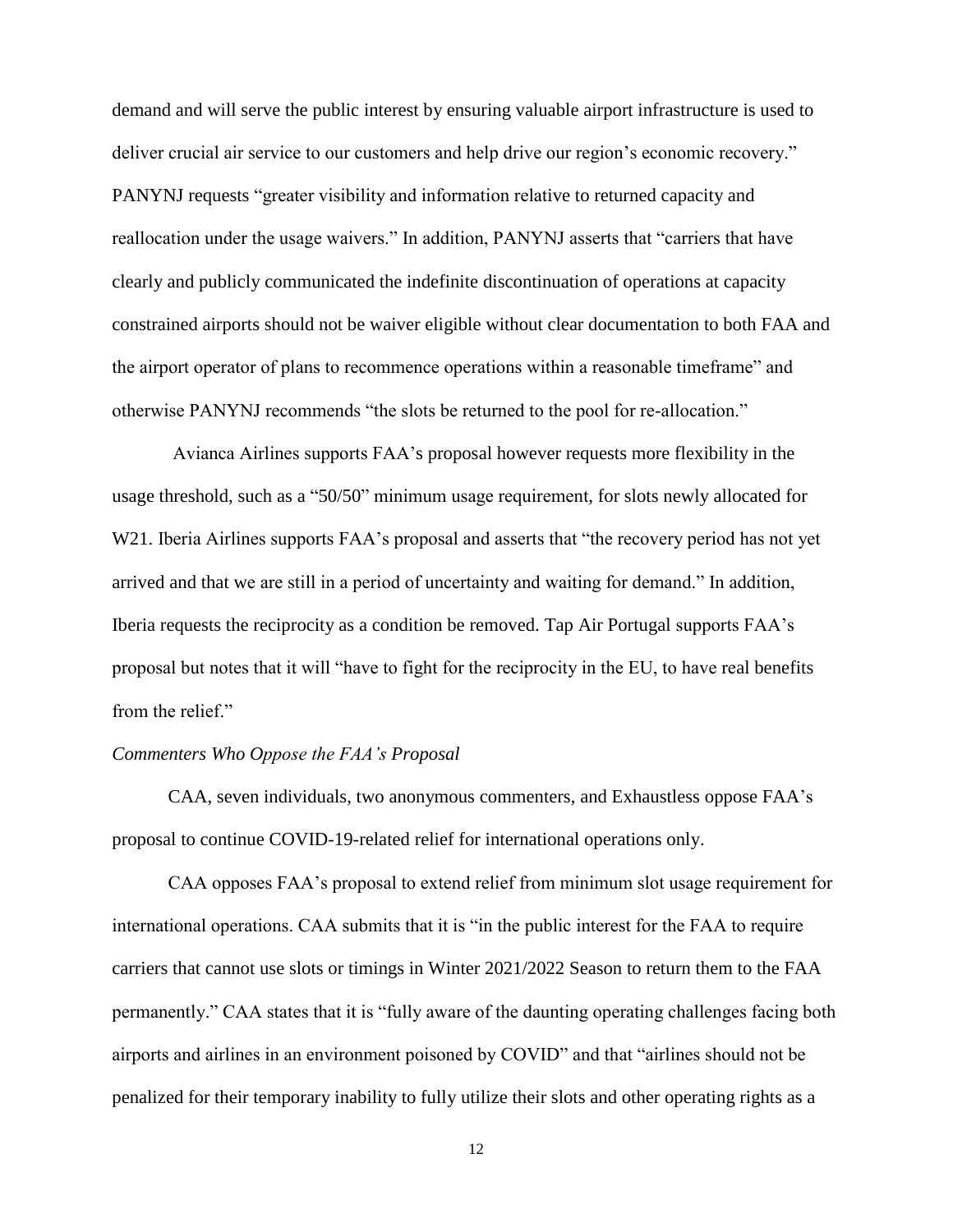demand and will serve the public interest by ensuring valuable airport infrastructure is used to deliver crucial air service to our customers and help drive our region's economic recovery." PANYNJ requests "greater visibility and information relative to returned capacity and reallocation under the usage waivers." In addition, PANYNJ asserts that "carriers that have clearly and publicly communicated the indefinite discontinuation of operations at capacity constrained airports should not be waiver eligible without clear documentation to both FAA and the airport operator of plans to recommence operations within a reasonable timeframe" and otherwise PANYNJ recommends "the slots be returned to the pool for re-allocation."

Avianca Airlines supports FAA's proposal however requests more flexibility in the usage threshold, such as a "50/50" minimum usage requirement, for slots newly allocated for W21. Iberia Airlines supports FAA's proposal and asserts that "the recovery period has not yet arrived and that we are still in a period of uncertainty and waiting for demand." In addition, Iberia requests the reciprocity as a condition be removed. Tap Air Portugal supports FAA's proposal but notes that it will "have to fight for the reciprocity in the EU, to have real benefits from the relief."

## *Commenters Who Oppose the FAA's Proposal*

CAA, seven individuals, two anonymous commenters, and Exhaustless oppose FAA's proposal to continue COVID-19-related relief for international operations only.

CAA opposes FAA's proposal to extend relief from minimum slot usage requirement for international operations. CAA submits that it is "in the public interest for the FAA to require carriers that cannot use slots or timings in Winter 2021/2022 Season to return them to the FAA permanently." CAA states that it is "fully aware of the daunting operating challenges facing both airports and airlines in an environment poisoned by COVID" and that "airlines should not be penalized for their temporary inability to fully utilize their slots and other operating rights as a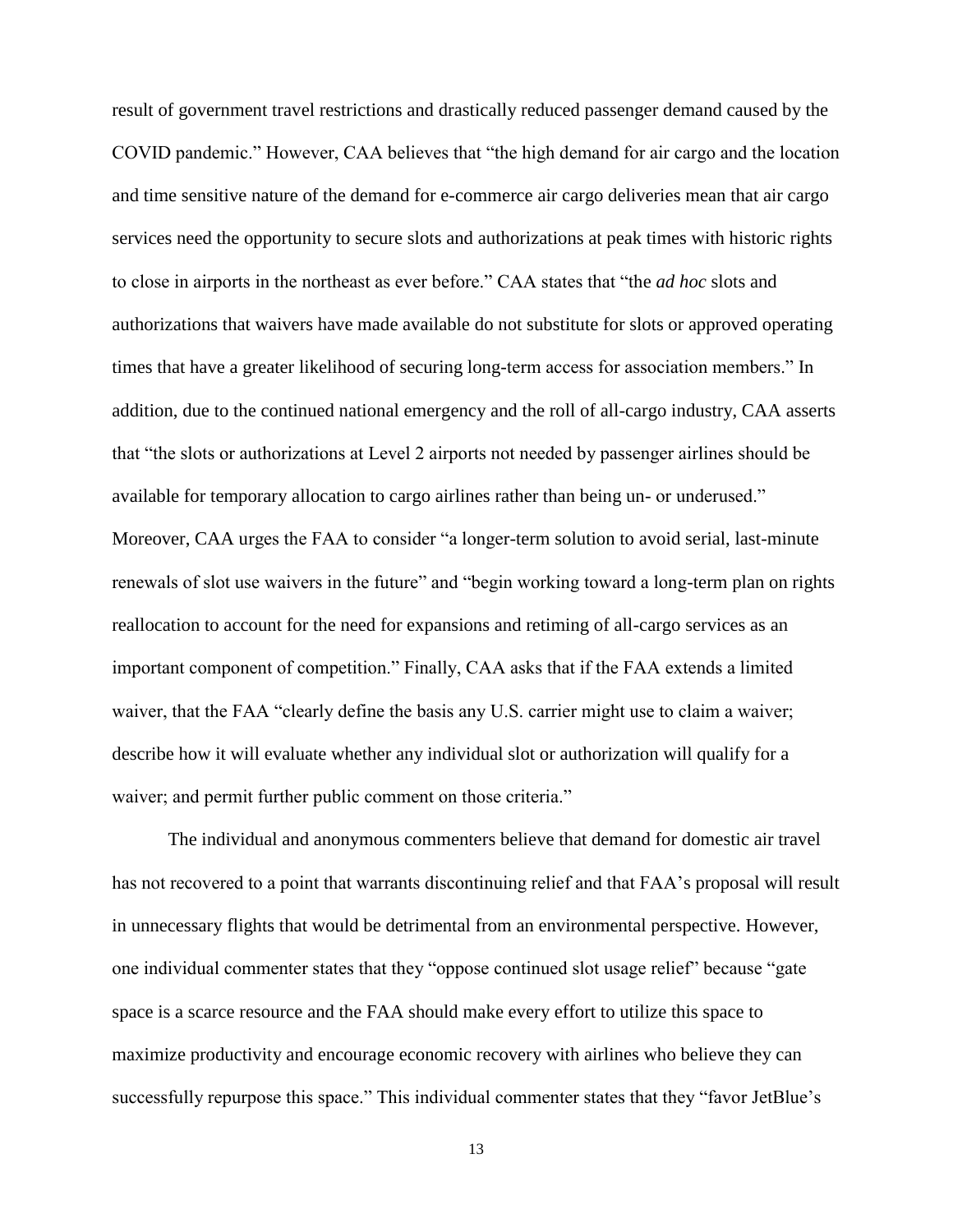result of government travel restrictions and drastically reduced passenger demand caused by the COVID pandemic." However, CAA believes that "the high demand for air cargo and the location and time sensitive nature of the demand for e-commerce air cargo deliveries mean that air cargo services need the opportunity to secure slots and authorizations at peak times with historic rights to close in airports in the northeast as ever before." CAA states that "the *ad hoc* slots and authorizations that waivers have made available do not substitute for slots or approved operating times that have a greater likelihood of securing long-term access for association members." In addition, due to the continued national emergency and the roll of all-cargo industry, CAA asserts that "the slots or authorizations at Level 2 airports not needed by passenger airlines should be available for temporary allocation to cargo airlines rather than being un- or underused." Moreover, CAA urges the FAA to consider "a longer-term solution to avoid serial, last-minute renewals of slot use waivers in the future" and "begin working toward a long-term plan on rights reallocation to account for the need for expansions and retiming of all-cargo services as an important component of competition." Finally, CAA asks that if the FAA extends a limited waiver, that the FAA "clearly define the basis any U.S. carrier might use to claim a waiver; describe how it will evaluate whether any individual slot or authorization will qualify for a waiver; and permit further public comment on those criteria."

The individual and anonymous commenters believe that demand for domestic air travel has not recovered to a point that warrants discontinuing relief and that FAA's proposal will result in unnecessary flights that would be detrimental from an environmental perspective. However, one individual commenter states that they "oppose continued slot usage relief" because "gate space is a scarce resource and the FAA should make every effort to utilize this space to maximize productivity and encourage economic recovery with airlines who believe they can successfully repurpose this space." This individual commenter states that they "favor JetBlue's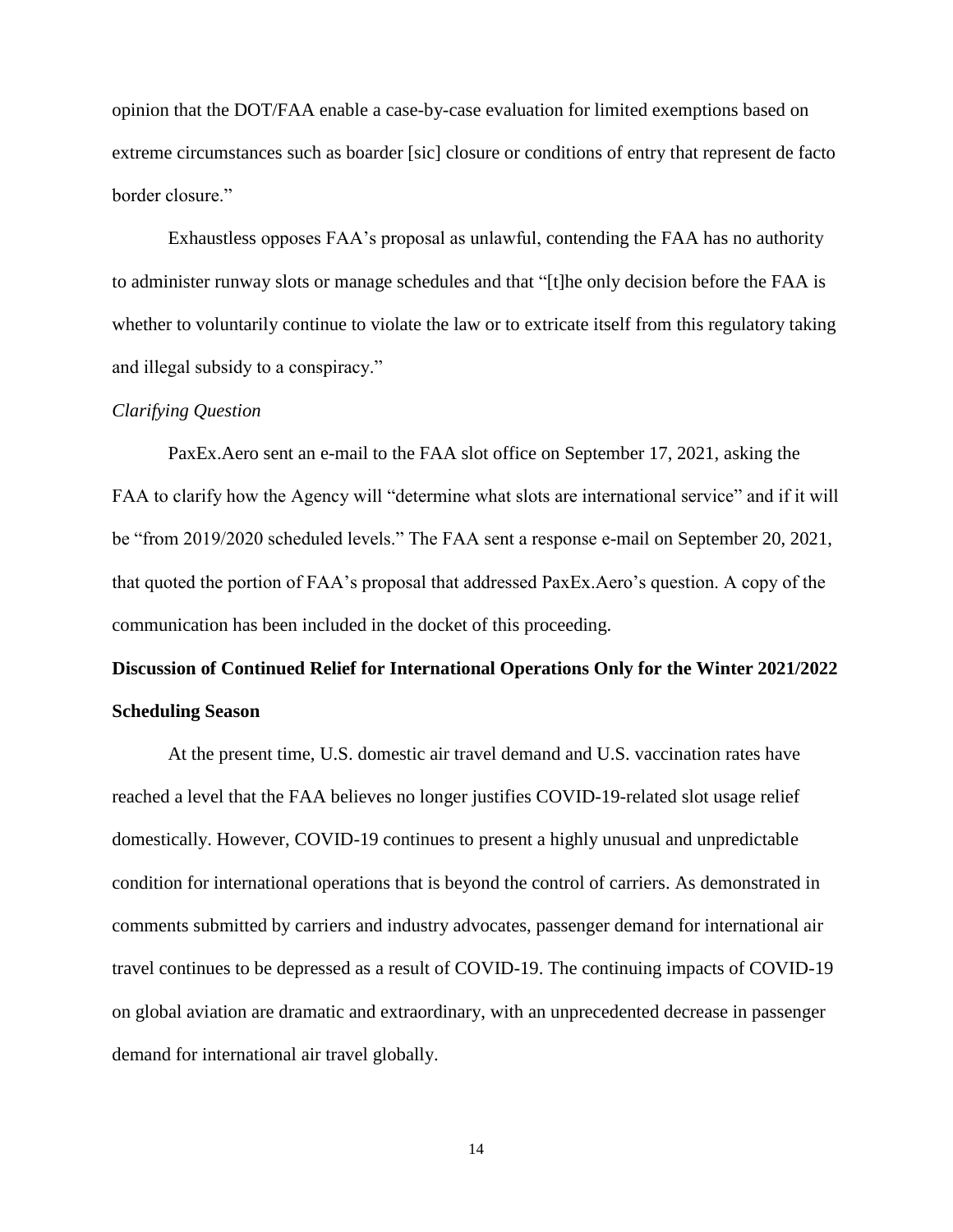opinion that the DOT/FAA enable a case-by-case evaluation for limited exemptions based on extreme circumstances such as boarder [sic] closure or conditions of entry that represent de facto border closure."

Exhaustless opposes FAA's proposal as unlawful, contending the FAA has no authority to administer runway slots or manage schedules and that "[t]he only decision before the FAA is whether to voluntarily continue to violate the law or to extricate itself from this regulatory taking and illegal subsidy to a conspiracy."

## *Clarifying Question*

PaxEx.Aero sent an e-mail to the FAA slot office on September 17, 2021, asking the FAA to clarify how the Agency will "determine what slots are international service" and if it will be "from 2019/2020 scheduled levels." The FAA sent a response e-mail on September 20, 2021, that quoted the portion of FAA's proposal that addressed PaxEx.Aero's question. A copy of the communication has been included in the docket of this proceeding.

# **Discussion of Continued Relief for International Operations Only for the Winter 2021/2022 Scheduling Season**

At the present time, U.S. domestic air travel demand and U.S. vaccination rates have reached a level that the FAA believes no longer justifies COVID-19-related slot usage relief domestically. However, COVID-19 continues to present a highly unusual and unpredictable condition for international operations that is beyond the control of carriers. As demonstrated in comments submitted by carriers and industry advocates, passenger demand for international air travel continues to be depressed as a result of COVID-19. The continuing impacts of COVID-19 on global aviation are dramatic and extraordinary, with an unprecedented decrease in passenger demand for international air travel globally.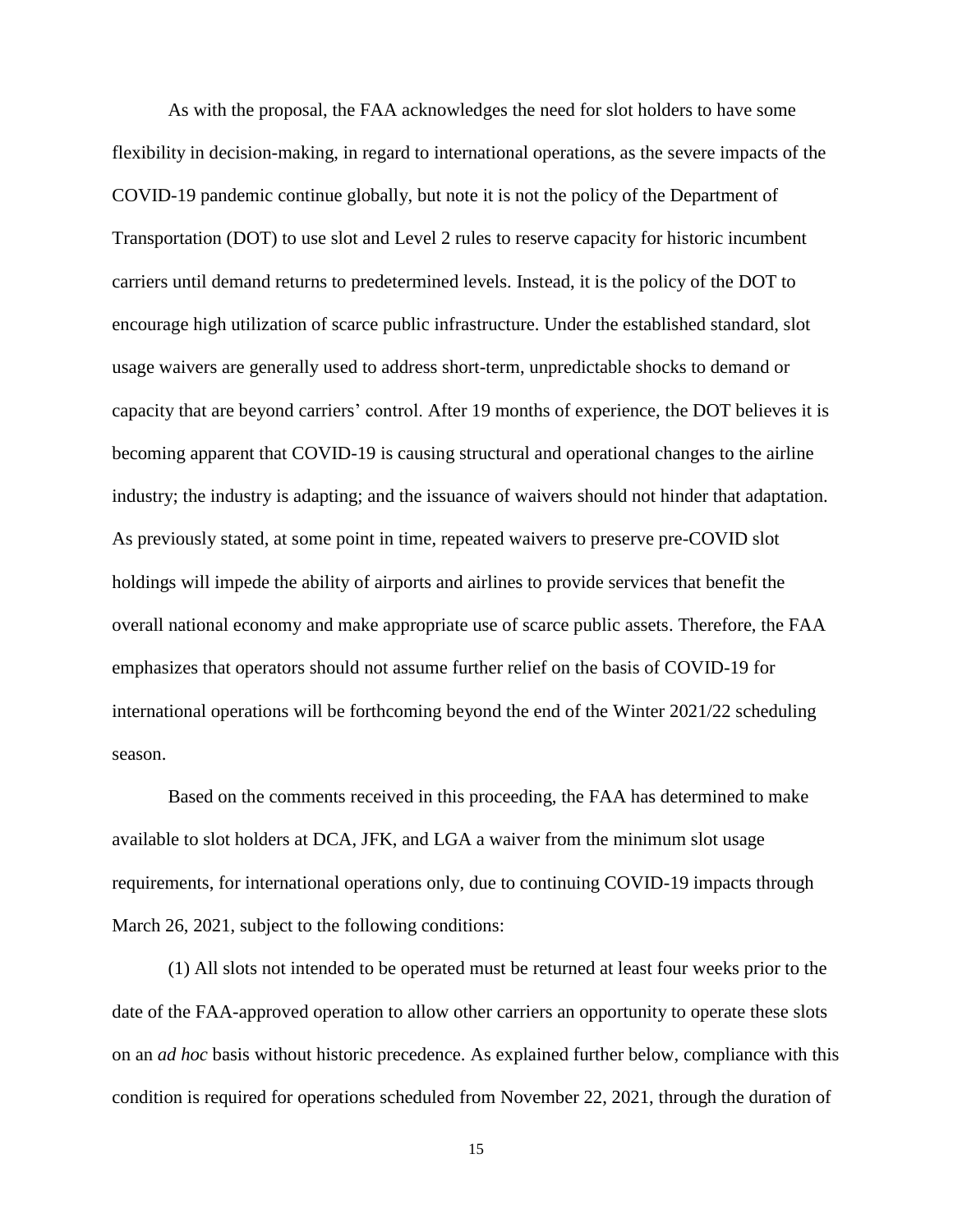As with the proposal, the FAA acknowledges the need for slot holders to have some flexibility in decision-making, in regard to international operations, as the severe impacts of the COVID-19 pandemic continue globally, but note it is not the policy of the Department of Transportation (DOT) to use slot and Level 2 rules to reserve capacity for historic incumbent carriers until demand returns to predetermined levels. Instead, it is the policy of the DOT to encourage high utilization of scarce public infrastructure. Under the established standard, slot usage waivers are generally used to address short-term, unpredictable shocks to demand or capacity that are beyond carriers' control. After 19 months of experience, the DOT believes it is becoming apparent that COVID-19 is causing structural and operational changes to the airline industry; the industry is adapting; and the issuance of waivers should not hinder that adaptation. As previously stated, at some point in time, repeated waivers to preserve pre-COVID slot holdings will impede the ability of airports and airlines to provide services that benefit the overall national economy and make appropriate use of scarce public assets. Therefore, the FAA emphasizes that operators should not assume further relief on the basis of COVID-19 for international operations will be forthcoming beyond the end of the Winter 2021/22 scheduling season.

Based on the comments received in this proceeding, the FAA has determined to make available to slot holders at DCA, JFK, and LGA a waiver from the minimum slot usage requirements, for international operations only, due to continuing COVID-19 impacts through March 26, 2021, subject to the following conditions:

(1) All slots not intended to be operated must be returned at least four weeks prior to the date of the FAA-approved operation to allow other carriers an opportunity to operate these slots on an *ad hoc* basis without historic precedence. As explained further below, compliance with this condition is required for operations scheduled from November 22, 2021, through the duration of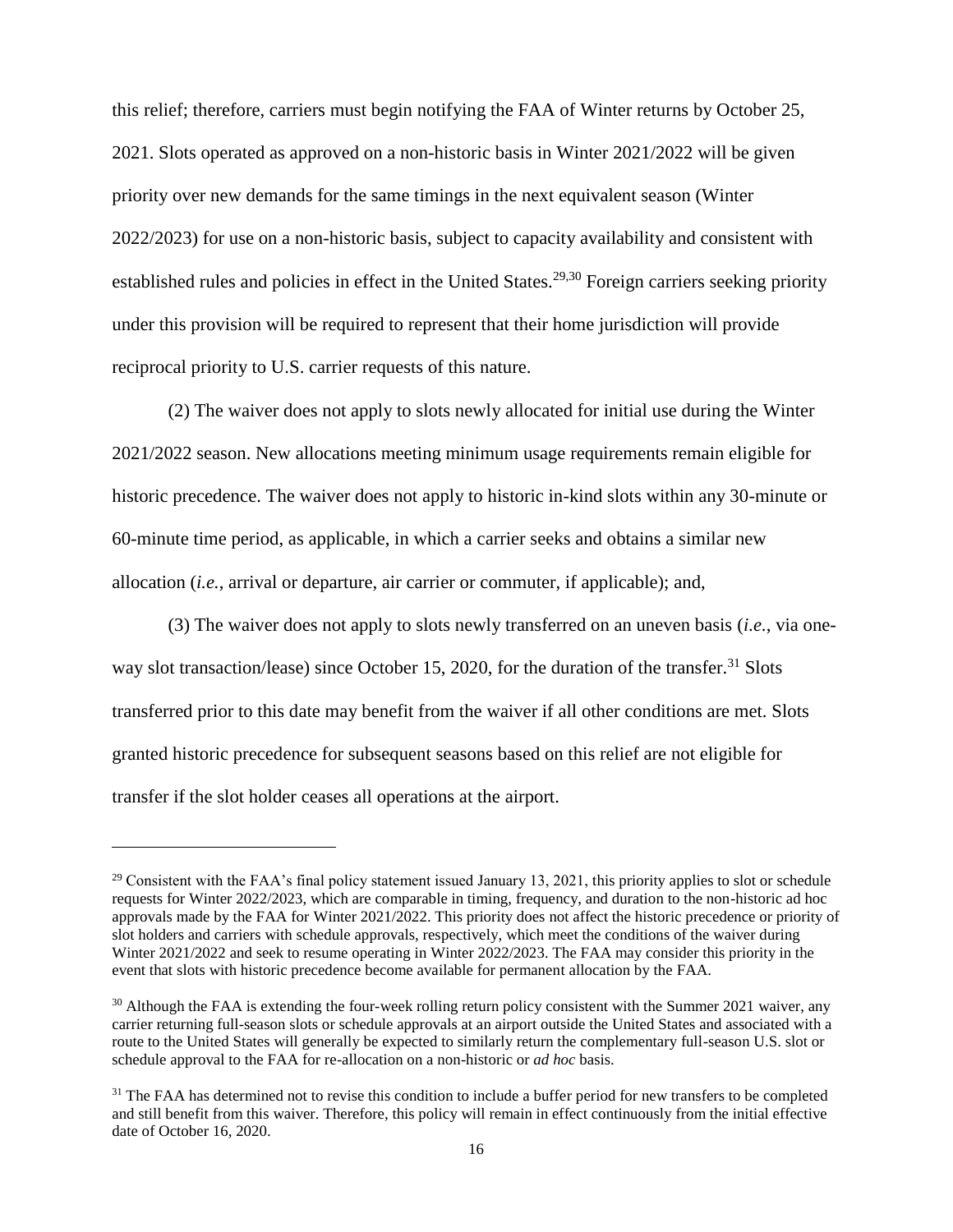this relief; therefore, carriers must begin notifying the FAA of Winter returns by October 25, 2021. Slots operated as approved on a non-historic basis in Winter 2021/2022 will be given priority over new demands for the same timings in the next equivalent season (Winter 2022/2023) for use on a non-historic basis, subject to capacity availability and consistent with established rules and policies in effect in the United States.<sup>29,30</sup> Foreign carriers seeking priority under this provision will be required to represent that their home jurisdiction will provide reciprocal priority to U.S. carrier requests of this nature.

(2) The waiver does not apply to slots newly allocated for initial use during the Winter 2021/2022 season. New allocations meeting minimum usage requirements remain eligible for historic precedence. The waiver does not apply to historic in-kind slots within any 30-minute or 60-minute time period, as applicable, in which a carrier seeks and obtains a similar new allocation (*i.e.*, arrival or departure, air carrier or commuter, if applicable); and,

(3) The waiver does not apply to slots newly transferred on an uneven basis (*i.e.*, via oneway slot transaction/lease) since October 15, 2020, for the duration of the transfer.<sup>31</sup> Slots transferred prior to this date may benefit from the waiver if all other conditions are met. Slots granted historic precedence for subsequent seasons based on this relief are not eligible for transfer if the slot holder ceases all operations at the airport.

l

 $29$  Consistent with the FAA's final policy statement issued January 13, 2021, this priority applies to slot or schedule requests for Winter 2022/2023, which are comparable in timing, frequency, and duration to the non-historic ad hoc approvals made by the FAA for Winter 2021/2022. This priority does not affect the historic precedence or priority of slot holders and carriers with schedule approvals, respectively, which meet the conditions of the waiver during Winter 2021/2022 and seek to resume operating in Winter 2022/2023. The FAA may consider this priority in the event that slots with historic precedence become available for permanent allocation by the FAA.

<sup>&</sup>lt;sup>30</sup> Although the FAA is extending the four-week rolling return policy consistent with the Summer 2021 waiver, any carrier returning full-season slots or schedule approvals at an airport outside the United States and associated with a route to the United States will generally be expected to similarly return the complementary full-season U.S. slot or schedule approval to the FAA for re-allocation on a non-historic or *ad hoc* basis.

<sup>&</sup>lt;sup>31</sup> The FAA has determined not to revise this condition to include a buffer period for new transfers to be completed and still benefit from this waiver. Therefore, this policy will remain in effect continuously from the initial effective date of October 16, 2020.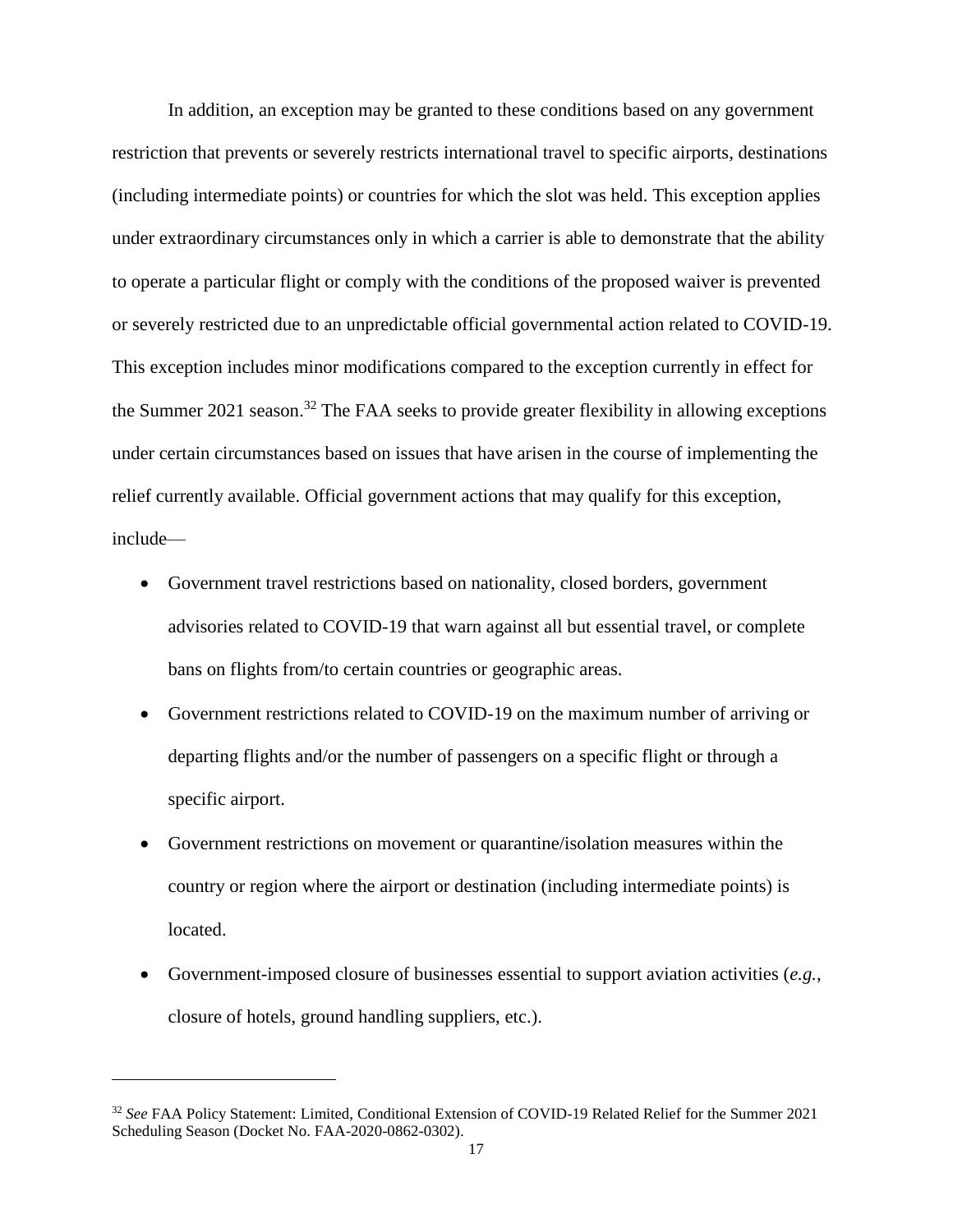In addition, an exception may be granted to these conditions based on any government restriction that prevents or severely restricts international travel to specific airports, destinations (including intermediate points) or countries for which the slot was held. This exception applies under extraordinary circumstances only in which a carrier is able to demonstrate that the ability to operate a particular flight or comply with the conditions of the proposed waiver is prevented or severely restricted due to an unpredictable official governmental action related to COVID-19. This exception includes minor modifications compared to the exception currently in effect for the Summer 2021 season.<sup>32</sup> The FAA seeks to provide greater flexibility in allowing exceptions under certain circumstances based on issues that have arisen in the course of implementing the relief currently available. Official government actions that may qualify for this exception, include—

- Government travel restrictions based on nationality, closed borders, government advisories related to COVID-19 that warn against all but essential travel, or complete bans on flights from/to certain countries or geographic areas.
- Government restrictions related to COVID-19 on the maximum number of arriving or departing flights and/or the number of passengers on a specific flight or through a specific airport.
- Government restrictions on movement or quarantine/isolation measures within the country or region where the airport or destination (including intermediate points) is located.
- Government-imposed closure of businesses essential to support aviation activities (*e.g.*, closure of hotels, ground handling suppliers, etc.).

<sup>32</sup> *See* FAA Policy Statement: Limited, Conditional Extension of COVID-19 Related Relief for the Summer 2021 Scheduling Season (Docket No. FAA-2020-0862-0302).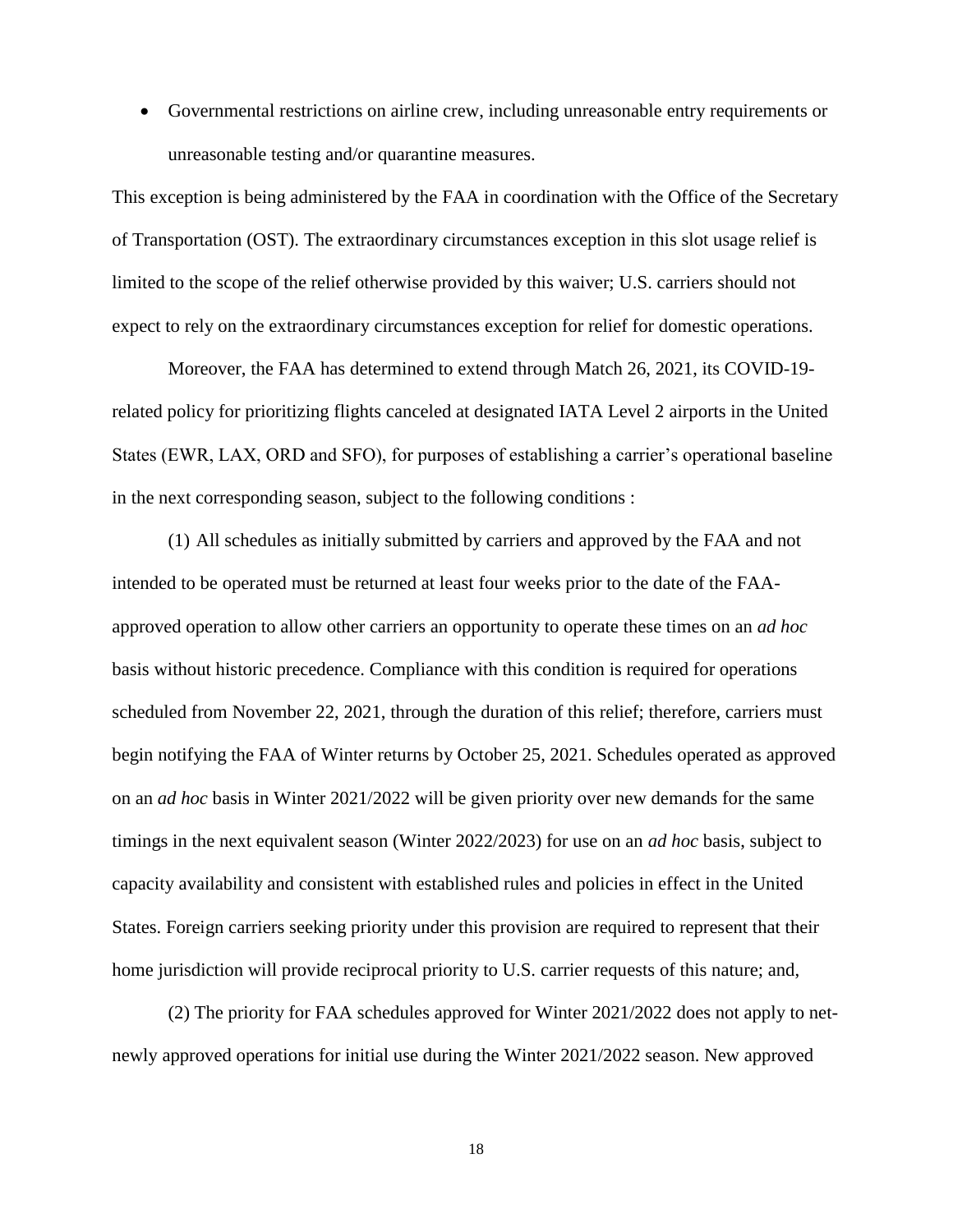Governmental restrictions on airline crew, including unreasonable entry requirements or unreasonable testing and/or quarantine measures.

This exception is being administered by the FAA in coordination with the Office of the Secretary of Transportation (OST). The extraordinary circumstances exception in this slot usage relief is limited to the scope of the relief otherwise provided by this waiver; U.S. carriers should not expect to rely on the extraordinary circumstances exception for relief for domestic operations.

Moreover, the FAA has determined to extend through Match 26, 2021, its COVID-19 related policy for prioritizing flights canceled at designated IATA Level 2 airports in the United States (EWR, LAX, ORD and SFO), for purposes of establishing a carrier's operational baseline in the next corresponding season, subject to the following conditions :

(1) All schedules as initially submitted by carriers and approved by the FAA and not intended to be operated must be returned at least four weeks prior to the date of the FAAapproved operation to allow other carriers an opportunity to operate these times on an *ad hoc* basis without historic precedence. Compliance with this condition is required for operations scheduled from November 22, 2021, through the duration of this relief; therefore, carriers must begin notifying the FAA of Winter returns by October 25, 2021. Schedules operated as approved on an *ad hoc* basis in Winter 2021/2022 will be given priority over new demands for the same timings in the next equivalent season (Winter 2022/2023) for use on an *ad hoc* basis, subject to capacity availability and consistent with established rules and policies in effect in the United States. Foreign carriers seeking priority under this provision are required to represent that their home jurisdiction will provide reciprocal priority to U.S. carrier requests of this nature; and,

(2) The priority for FAA schedules approved for Winter 2021/2022 does not apply to netnewly approved operations for initial use during the Winter 2021/2022 season. New approved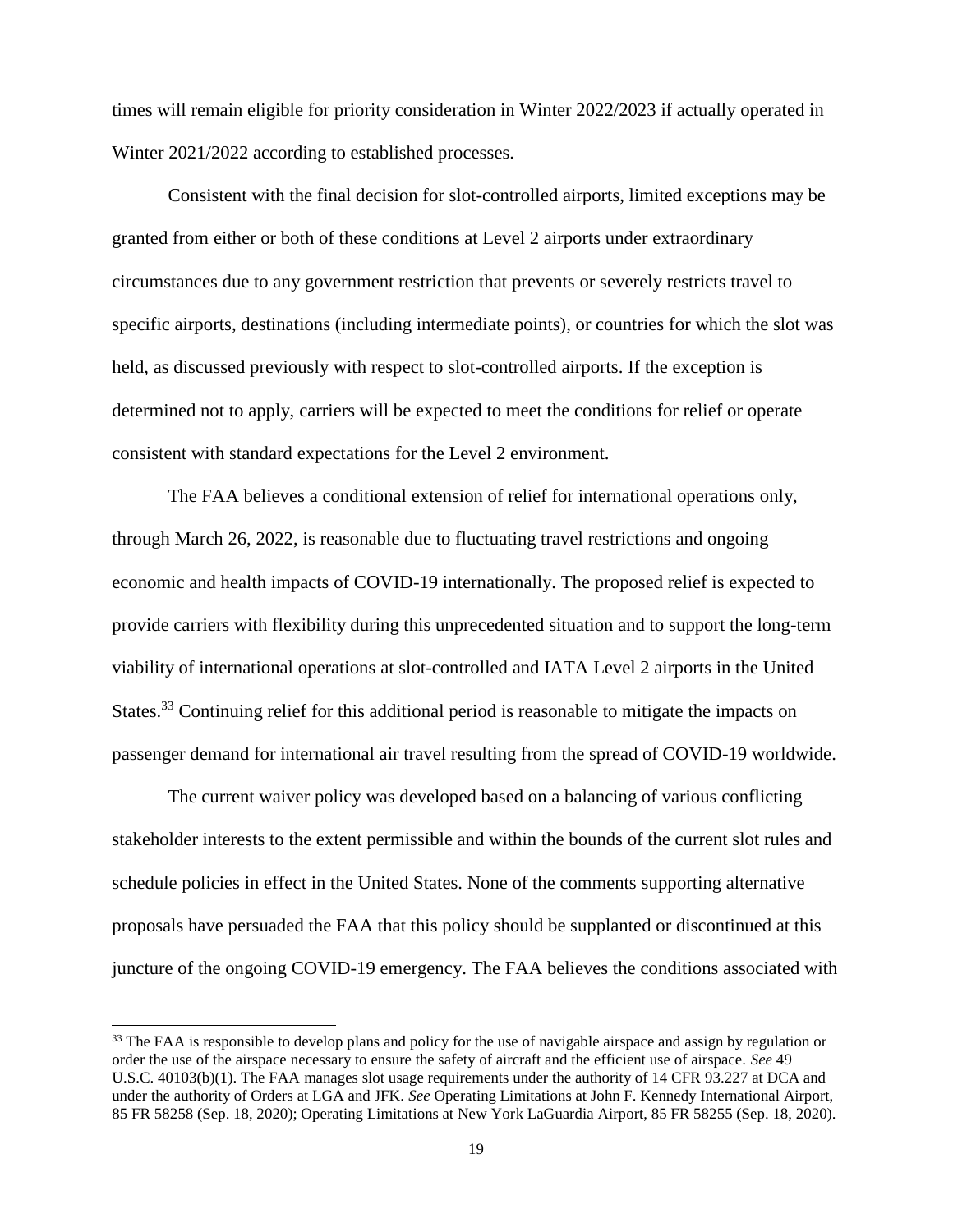times will remain eligible for priority consideration in Winter 2022/2023 if actually operated in Winter 2021/2022 according to established processes.

Consistent with the final decision for slot-controlled airports, limited exceptions may be granted from either or both of these conditions at Level 2 airports under extraordinary circumstances due to any government restriction that prevents or severely restricts travel to specific airports, destinations (including intermediate points), or countries for which the slot was held, as discussed previously with respect to slot-controlled airports. If the exception is determined not to apply, carriers will be expected to meet the conditions for relief or operate consistent with standard expectations for the Level 2 environment.

The FAA believes a conditional extension of relief for international operations only, through March 26, 2022, is reasonable due to fluctuating travel restrictions and ongoing economic and health impacts of COVID-19 internationally. The proposed relief is expected to provide carriers with flexibility during this unprecedented situation and to support the long-term viability of international operations at slot-controlled and IATA Level 2 airports in the United States.<sup>33</sup> Continuing relief for this additional period is reasonable to mitigate the impacts on passenger demand for international air travel resulting from the spread of COVID-19 worldwide.

The current waiver policy was developed based on a balancing of various conflicting stakeholder interests to the extent permissible and within the bounds of the current slot rules and schedule policies in effect in the United States. None of the comments supporting alternative proposals have persuaded the FAA that this policy should be supplanted or discontinued at this juncture of the ongoing COVID-19 emergency. The FAA believes the conditions associated with

<sup>&</sup>lt;sup>33</sup> The FAA is responsible to develop plans and policy for the use of navigable airspace and assign by regulation or order the use of the airspace necessary to ensure the safety of aircraft and the efficient use of airspace. *See* 49 U.S.C. 40103(b)(1). The FAA manages slot usage requirements under the authority of 14 CFR 93.227 at DCA and under the authority of Orders at LGA and JFK. *See* Operating Limitations at John F. Kennedy International Airport, 85 FR 58258 (Sep. 18, 2020); Operating Limitations at New York LaGuardia Airport, 85 FR 58255 (Sep. 18, 2020).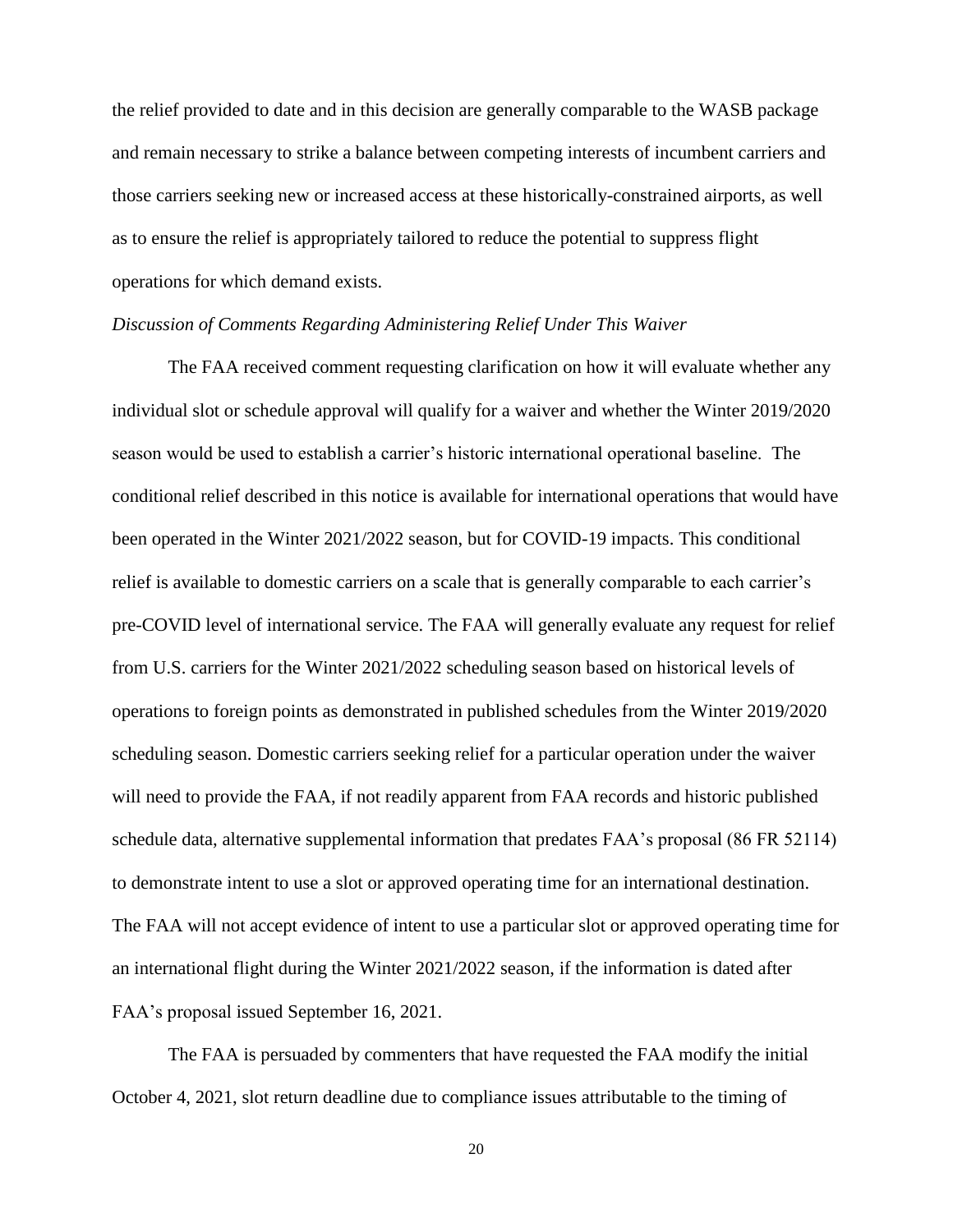the relief provided to date and in this decision are generally comparable to the WASB package and remain necessary to strike a balance between competing interests of incumbent carriers and those carriers seeking new or increased access at these historically-constrained airports, as well as to ensure the relief is appropriately tailored to reduce the potential to suppress flight operations for which demand exists.

## *Discussion of Comments Regarding Administering Relief Under This Waiver*

The FAA received comment requesting clarification on how it will evaluate whether any individual slot or schedule approval will qualify for a waiver and whether the Winter 2019/2020 season would be used to establish a carrier's historic international operational baseline. The conditional relief described in this notice is available for international operations that would have been operated in the Winter 2021/2022 season, but for COVID-19 impacts. This conditional relief is available to domestic carriers on a scale that is generally comparable to each carrier's pre-COVID level of international service. The FAA will generally evaluate any request for relief from U.S. carriers for the Winter 2021/2022 scheduling season based on historical levels of operations to foreign points as demonstrated in published schedules from the Winter 2019/2020 scheduling season. Domestic carriers seeking relief for a particular operation under the waiver will need to provide the FAA, if not readily apparent from FAA records and historic published schedule data, alternative supplemental information that predates FAA's proposal (86 FR 52114) to demonstrate intent to use a slot or approved operating time for an international destination. The FAA will not accept evidence of intent to use a particular slot or approved operating time for an international flight during the Winter 2021/2022 season, if the information is dated after FAA's proposal issued September 16, 2021.

The FAA is persuaded by commenters that have requested the FAA modify the initial October 4, 2021, slot return deadline due to compliance issues attributable to the timing of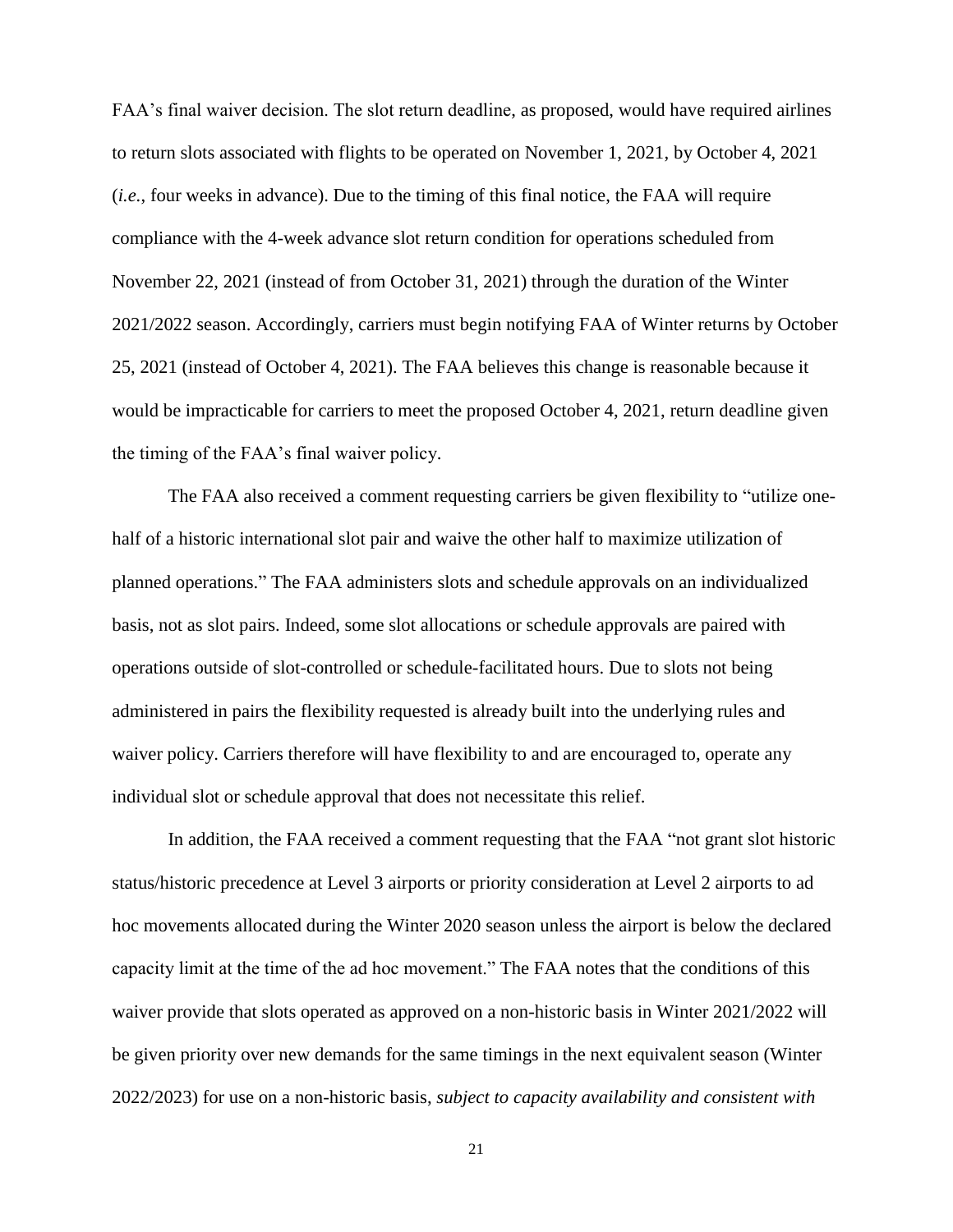FAA's final waiver decision. The slot return deadline, as proposed, would have required airlines to return slots associated with flights to be operated on November 1, 2021, by October 4, 2021 (*i.e.*, four weeks in advance). Due to the timing of this final notice, the FAA will require compliance with the 4-week advance slot return condition for operations scheduled from November 22, 2021 (instead of from October 31, 2021) through the duration of the Winter 2021/2022 season. Accordingly, carriers must begin notifying FAA of Winter returns by October 25, 2021 (instead of October 4, 2021). The FAA believes this change is reasonable because it would be impracticable for carriers to meet the proposed October 4, 2021, return deadline given the timing of the FAA's final waiver policy.

The FAA also received a comment requesting carriers be given flexibility to "utilize onehalf of a historic international slot pair and waive the other half to maximize utilization of planned operations." The FAA administers slots and schedule approvals on an individualized basis, not as slot pairs. Indeed, some slot allocations or schedule approvals are paired with operations outside of slot-controlled or schedule-facilitated hours. Due to slots not being administered in pairs the flexibility requested is already built into the underlying rules and waiver policy. Carriers therefore will have flexibility to and are encouraged to, operate any individual slot or schedule approval that does not necessitate this relief.

In addition, the FAA received a comment requesting that the FAA "not grant slot historic status/historic precedence at Level 3 airports or priority consideration at Level 2 airports to ad hoc movements allocated during the Winter 2020 season unless the airport is below the declared capacity limit at the time of the ad hoc movement." The FAA notes that the conditions of this waiver provide that slots operated as approved on a non-historic basis in Winter 2021/2022 will be given priority over new demands for the same timings in the next equivalent season (Winter 2022/2023) for use on a non-historic basis, *subject to capacity availability and consistent with*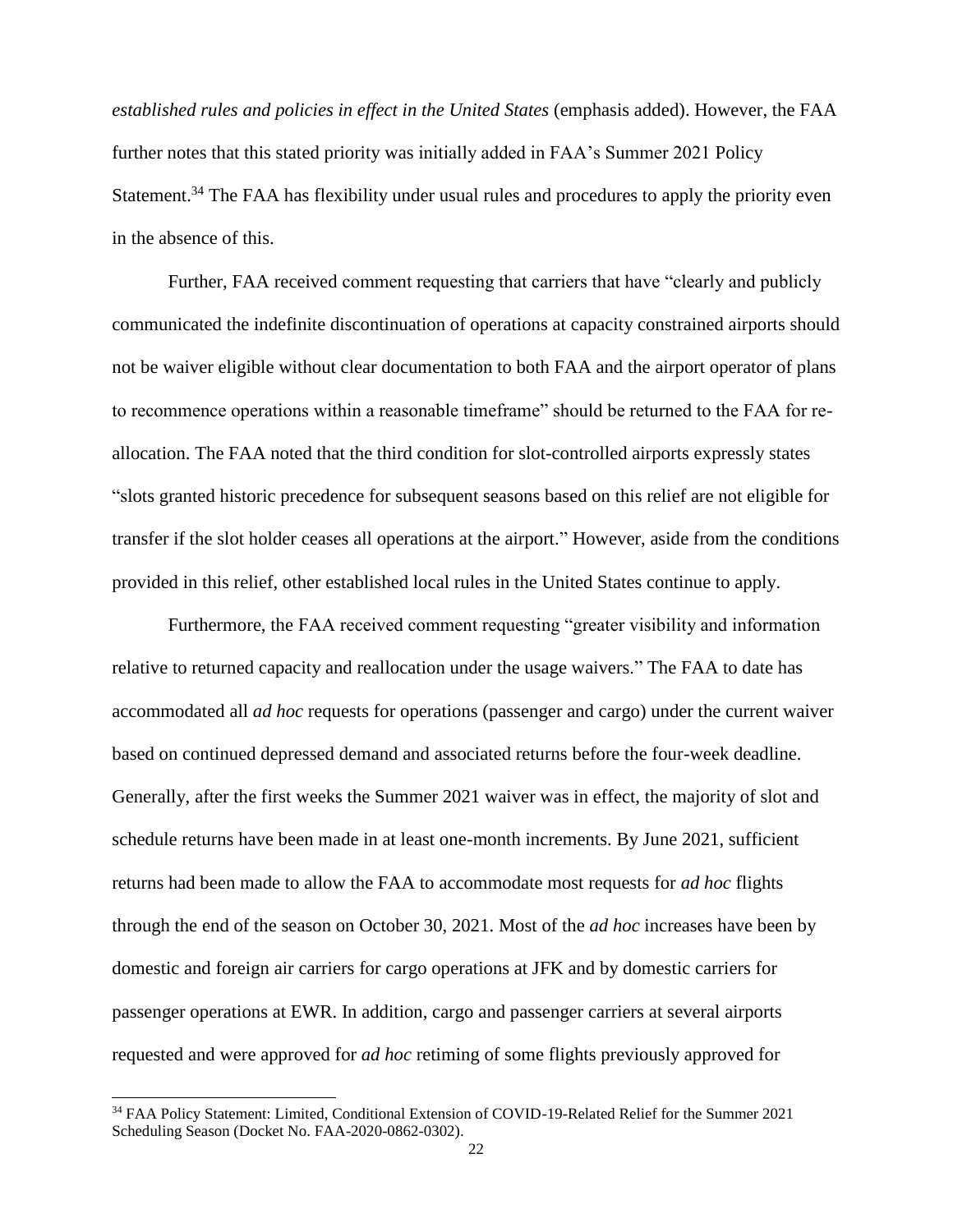*established rules and policies in effect in the United States* (emphasis added). However, the FAA further notes that this stated priority was initially added in FAA's Summer 2021 Policy Statement.<sup>34</sup> The FAA has flexibility under usual rules and procedures to apply the priority even in the absence of this.

Further, FAA received comment requesting that carriers that have "clearly and publicly communicated the indefinite discontinuation of operations at capacity constrained airports should not be waiver eligible without clear documentation to both FAA and the airport operator of plans to recommence operations within a reasonable timeframe" should be returned to the FAA for reallocation. The FAA noted that the third condition for slot-controlled airports expressly states "slots granted historic precedence for subsequent seasons based on this relief are not eligible for transfer if the slot holder ceases all operations at the airport." However, aside from the conditions provided in this relief, other established local rules in the United States continue to apply.

Furthermore, the FAA received comment requesting "greater visibility and information relative to returned capacity and reallocation under the usage waivers." The FAA to date has accommodated all *ad hoc* requests for operations (passenger and cargo) under the current waiver based on continued depressed demand and associated returns before the four-week deadline. Generally, after the first weeks the Summer 2021 waiver was in effect, the majority of slot and schedule returns have been made in at least one-month increments. By June 2021, sufficient returns had been made to allow the FAA to accommodate most requests for *ad hoc* flights through the end of the season on October 30, 2021. Most of the *ad hoc* increases have been by domestic and foreign air carriers for cargo operations at JFK and by domestic carriers for passenger operations at EWR. In addition, cargo and passenger carriers at several airports requested and were approved for *ad hoc* retiming of some flights previously approved for

<sup>34</sup> FAA Policy Statement: Limited, Conditional Extension of COVID-19-Related Relief for the Summer 2021 Scheduling Season (Docket No. FAA-2020-0862-0302).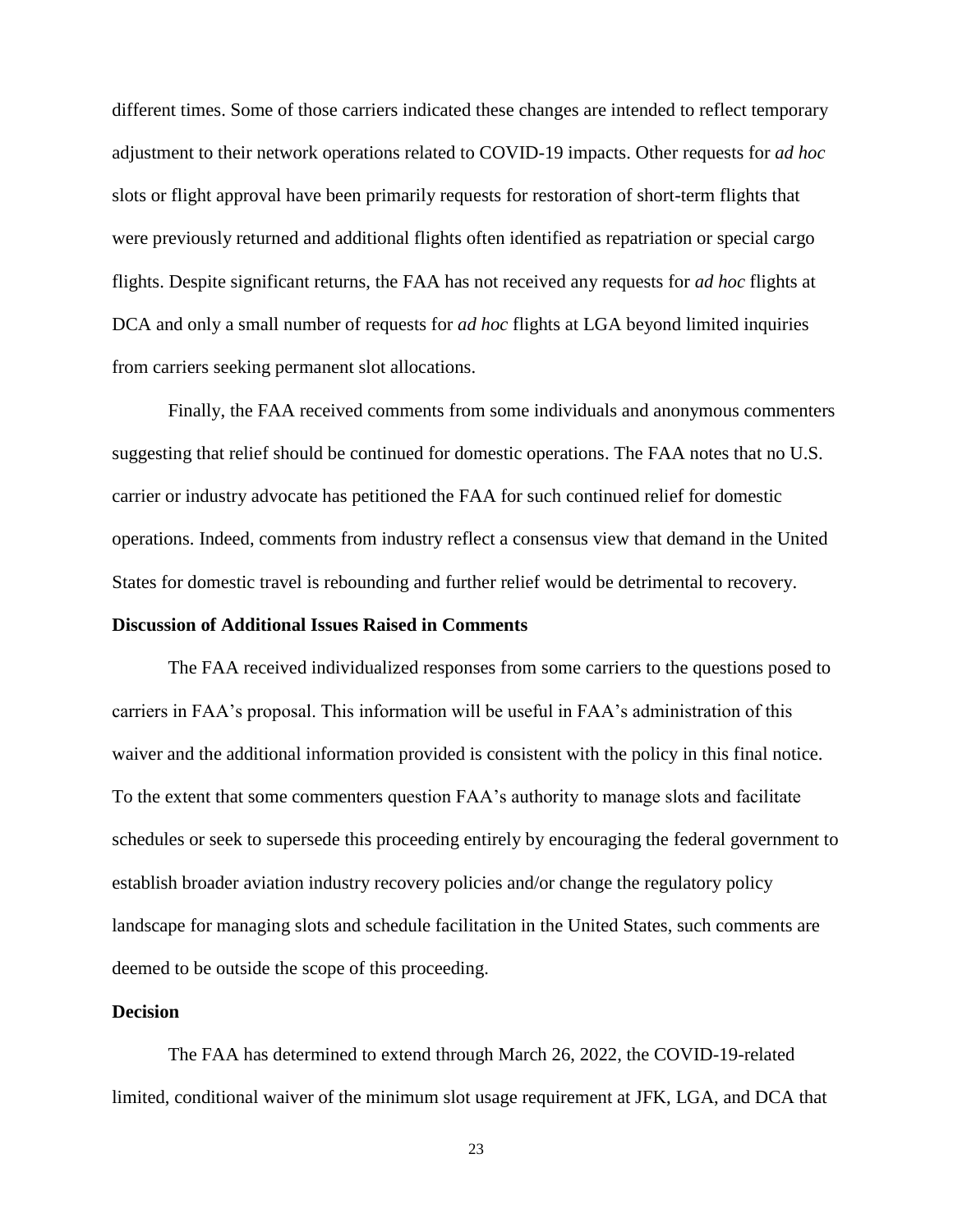different times. Some of those carriers indicated these changes are intended to reflect temporary adjustment to their network operations related to COVID-19 impacts. Other requests for *ad hoc*  slots or flight approval have been primarily requests for restoration of short-term flights that were previously returned and additional flights often identified as repatriation or special cargo flights. Despite significant returns, the FAA has not received any requests for *ad hoc* flights at DCA and only a small number of requests for *ad hoc* flights at LGA beyond limited inquiries from carriers seeking permanent slot allocations.

Finally, the FAA received comments from some individuals and anonymous commenters suggesting that relief should be continued for domestic operations. The FAA notes that no U.S. carrier or industry advocate has petitioned the FAA for such continued relief for domestic operations. Indeed, comments from industry reflect a consensus view that demand in the United States for domestic travel is rebounding and further relief would be detrimental to recovery.

#### **Discussion of Additional Issues Raised in Comments**

The FAA received individualized responses from some carriers to the questions posed to carriers in FAA's proposal. This information will be useful in FAA's administration of this waiver and the additional information provided is consistent with the policy in this final notice. To the extent that some commenters question FAA's authority to manage slots and facilitate schedules or seek to supersede this proceeding entirely by encouraging the federal government to establish broader aviation industry recovery policies and/or change the regulatory policy landscape for managing slots and schedule facilitation in the United States, such comments are deemed to be outside the scope of this proceeding.

## **Decision**

The FAA has determined to extend through March 26, 2022, the COVID-19-related limited, conditional waiver of the minimum slot usage requirement at JFK, LGA, and DCA that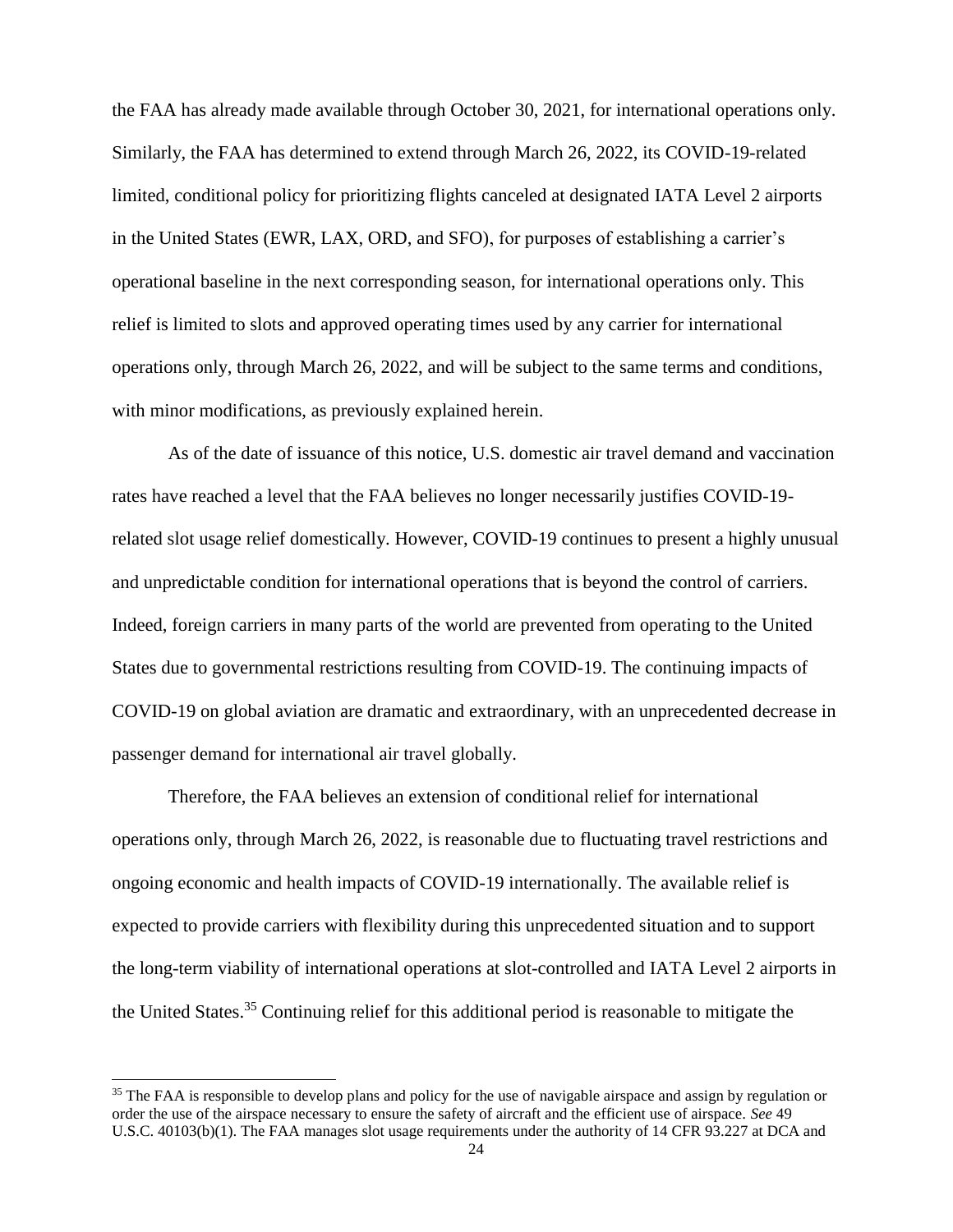the FAA has already made available through October 30, 2021, for international operations only. Similarly, the FAA has determined to extend through March 26, 2022, its COVID-19-related limited, conditional policy for prioritizing flights canceled at designated IATA Level 2 airports in the United States (EWR, LAX, ORD, and SFO), for purposes of establishing a carrier's operational baseline in the next corresponding season, for international operations only. This relief is limited to slots and approved operating times used by any carrier for international operations only, through March 26, 2022, and will be subject to the same terms and conditions, with minor modifications, as previously explained herein.

As of the date of issuance of this notice, U.S. domestic air travel demand and vaccination rates have reached a level that the FAA believes no longer necessarily justifies COVID-19 related slot usage relief domestically. However, COVID-19 continues to present a highly unusual and unpredictable condition for international operations that is beyond the control of carriers. Indeed, foreign carriers in many parts of the world are prevented from operating to the United States due to governmental restrictions resulting from COVID-19. The continuing impacts of COVID-19 on global aviation are dramatic and extraordinary, with an unprecedented decrease in passenger demand for international air travel globally.

Therefore, the FAA believes an extension of conditional relief for international operations only, through March 26, 2022, is reasonable due to fluctuating travel restrictions and ongoing economic and health impacts of COVID-19 internationally. The available relief is expected to provide carriers with flexibility during this unprecedented situation and to support the long-term viability of international operations at slot-controlled and IATA Level 2 airports in the United States.<sup>35</sup> Continuing relief for this additional period is reasonable to mitigate the

<sup>&</sup>lt;sup>35</sup> The FAA is responsible to develop plans and policy for the use of navigable airspace and assign by regulation or order the use of the airspace necessary to ensure the safety of aircraft and the efficient use of airspace. *See* 49 U.S.C. 40103(b)(1). The FAA manages slot usage requirements under the authority of 14 CFR 93.227 at DCA and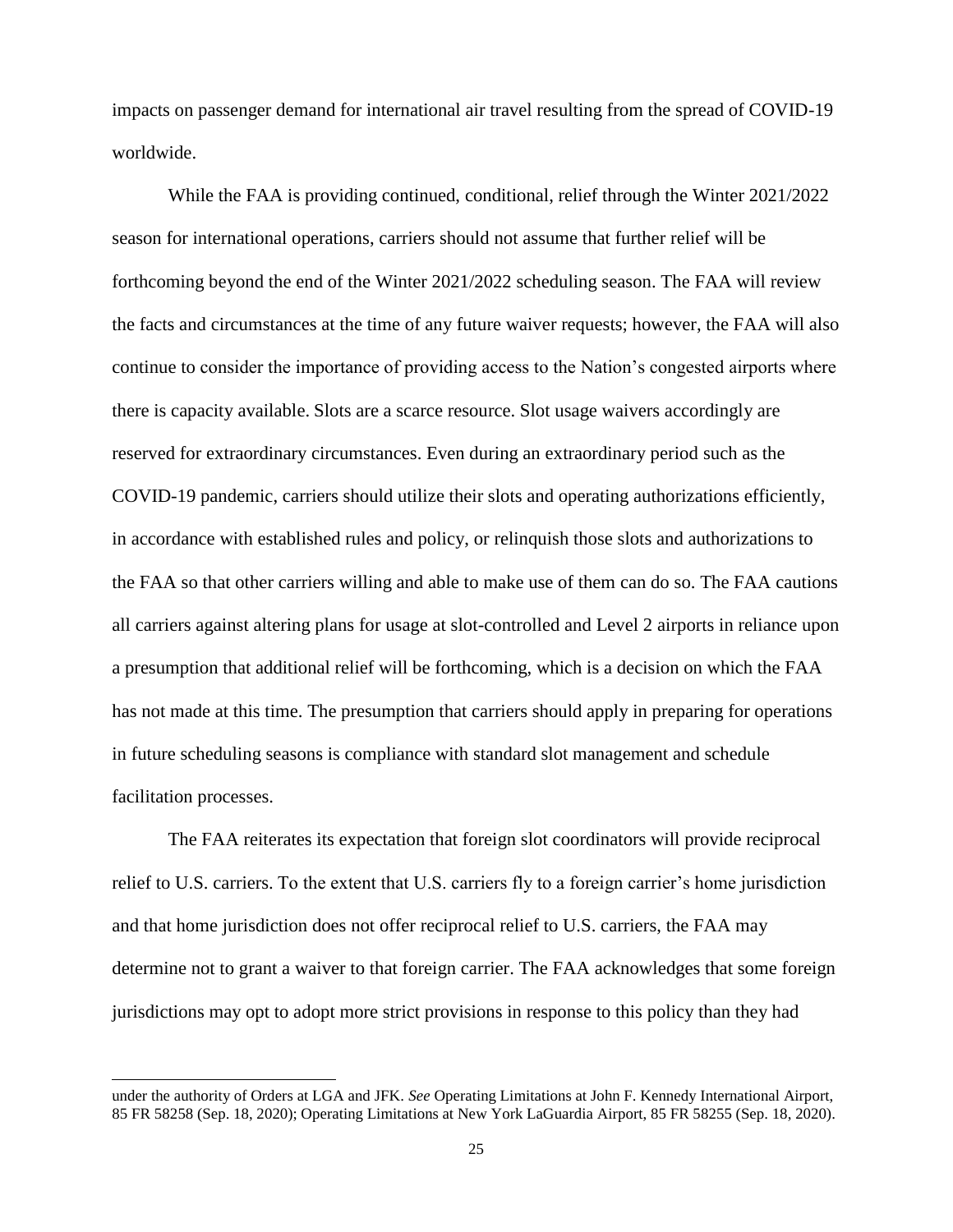impacts on passenger demand for international air travel resulting from the spread of COVID-19 worldwide.

While the FAA is providing continued, conditional, relief through the Winter 2021/2022 season for international operations, carriers should not assume that further relief will be forthcoming beyond the end of the Winter 2021/2022 scheduling season. The FAA will review the facts and circumstances at the time of any future waiver requests; however, the FAA will also continue to consider the importance of providing access to the Nation's congested airports where there is capacity available. Slots are a scarce resource. Slot usage waivers accordingly are reserved for extraordinary circumstances. Even during an extraordinary period such as the COVID-19 pandemic, carriers should utilize their slots and operating authorizations efficiently, in accordance with established rules and policy, or relinquish those slots and authorizations to the FAA so that other carriers willing and able to make use of them can do so. The FAA cautions all carriers against altering plans for usage at slot-controlled and Level 2 airports in reliance upon a presumption that additional relief will be forthcoming, which is a decision on which the FAA has not made at this time. The presumption that carriers should apply in preparing for operations in future scheduling seasons is compliance with standard slot management and schedule facilitation processes.

The FAA reiterates its expectation that foreign slot coordinators will provide reciprocal relief to U.S. carriers. To the extent that U.S. carriers fly to a foreign carrier's home jurisdiction and that home jurisdiction does not offer reciprocal relief to U.S. carriers, the FAA may determine not to grant a waiver to that foreign carrier. The FAA acknowledges that some foreign jurisdictions may opt to adopt more strict provisions in response to this policy than they had

under the authority of Orders at LGA and JFK. *See* Operating Limitations at John F. Kennedy International Airport, 85 FR 58258 (Sep. 18, 2020); Operating Limitations at New York LaGuardia Airport, 85 FR 58255 (Sep. 18, 2020).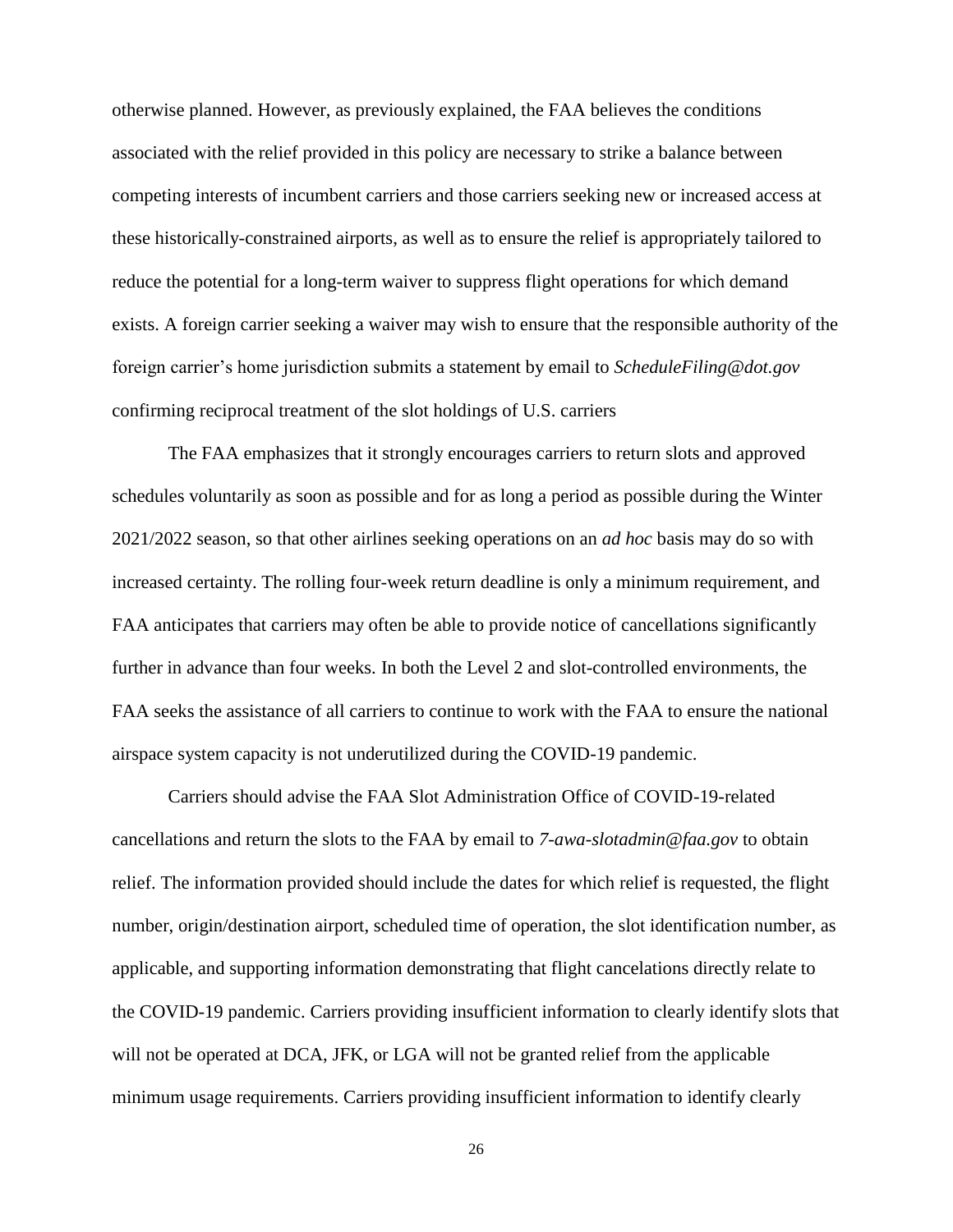otherwise planned. However, as previously explained, the FAA believes the conditions associated with the relief provided in this policy are necessary to strike a balance between competing interests of incumbent carriers and those carriers seeking new or increased access at these historically-constrained airports, as well as to ensure the relief is appropriately tailored to reduce the potential for a long-term waiver to suppress flight operations for which demand exists. A foreign carrier seeking a waiver may wish to ensure that the responsible authority of the foreign carrier's home jurisdiction submits a statement by email to *ScheduleFiling@dot.gov* confirming reciprocal treatment of the slot holdings of U.S. carriers

The FAA emphasizes that it strongly encourages carriers to return slots and approved schedules voluntarily as soon as possible and for as long a period as possible during the Winter 2021/2022 season, so that other airlines seeking operations on an *ad hoc* basis may do so with increased certainty. The rolling four-week return deadline is only a minimum requirement, and FAA anticipates that carriers may often be able to provide notice of cancellations significantly further in advance than four weeks. In both the Level 2 and slot-controlled environments, the FAA seeks the assistance of all carriers to continue to work with the FAA to ensure the national airspace system capacity is not underutilized during the COVID-19 pandemic.

Carriers should advise the FAA Slot Administration Office of COVID-19-related cancellations and return the slots to the FAA by email to *7-awa-slotadmin@faa.gov* to obtain relief. The information provided should include the dates for which relief is requested, the flight number, origin/destination airport, scheduled time of operation, the slot identification number, as applicable, and supporting information demonstrating that flight cancelations directly relate to the COVID-19 pandemic. Carriers providing insufficient information to clearly identify slots that will not be operated at DCA, JFK, or LGA will not be granted relief from the applicable minimum usage requirements. Carriers providing insufficient information to identify clearly